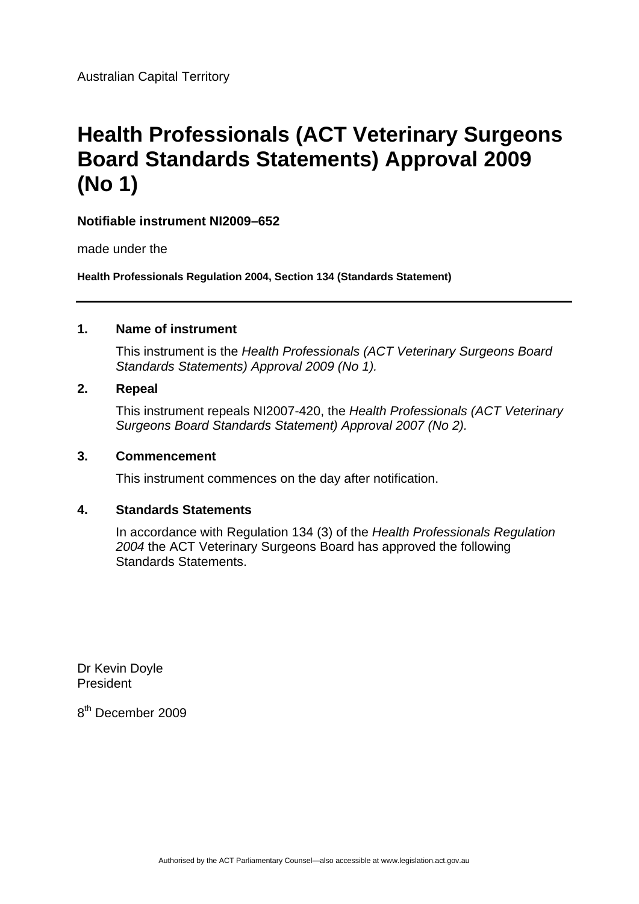# **Health Professionals (ACT Veterinary Surgeons Board Standards Statements) Approval 2009 (No 1)**

### **Notifiable instrument NI2009–652**

made under the

**Health Professionals Regulation 2004, Section 134 (Standards Statement)** 

### **1. Name of instrument**

This instrument is the *Health Professionals (ACT Veterinary Surgeons Board Standards Statements) Approval 2009 (No 1).* 

### **2. Repeal**

This instrument repeals NI2007-420, the *Health Professionals (ACT Veterinary Surgeons Board Standards Statement) Approval 2007 (No 2).*

### **3. Commencement**

This instrument commences on the day after notification.

### **4. Standards Statements**

In accordance with Regulation 134 (3) of the *Health Professionals Regulation 2004* the ACT Veterinary Surgeons Board has approved the following Standards Statements.

Dr Kevin Doyle President

8th December 2009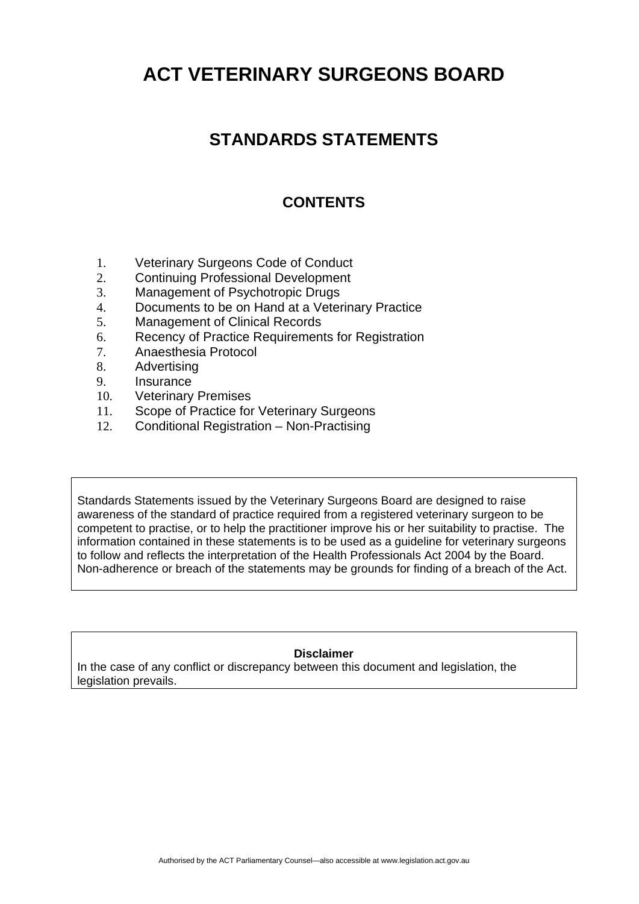# **STANDARDS STATEMENTS**

## **CONTENTS**

- 1. Veterinary Surgeons Code of Conduct
- 2. Continuing Professional Development
- 3. Management of Psychotropic Drugs
- 4. Documents to be on Hand at a Veterinary Practice
- 5. Management of Clinical Records
- 6. Recency of Practice Requirements for Registration
- 7. Anaesthesia Protocol
- 8. Advertising
- 9. Insurance
- 10. Veterinary Premises
- 11. Scope of Practice for Veterinary Surgeons
- 12. Conditional Registration Non-Practising

Standards Statements issued by the Veterinary Surgeons Board are designed to raise awareness of the standard of practice required from a registered veterinary surgeon to be competent to practise, or to help the practitioner improve his or her suitability to practise. The information contained in these statements is to be used as a guideline for veterinary surgeons to follow and reflects the interpretation of the Health Professionals Act 2004 by the Board. Non-adherence or breach of the statements may be grounds for finding of a breach of the Act.

### **Disclaimer**

In the case of any conflict or discrepancy between this document and legislation, the legislation prevails.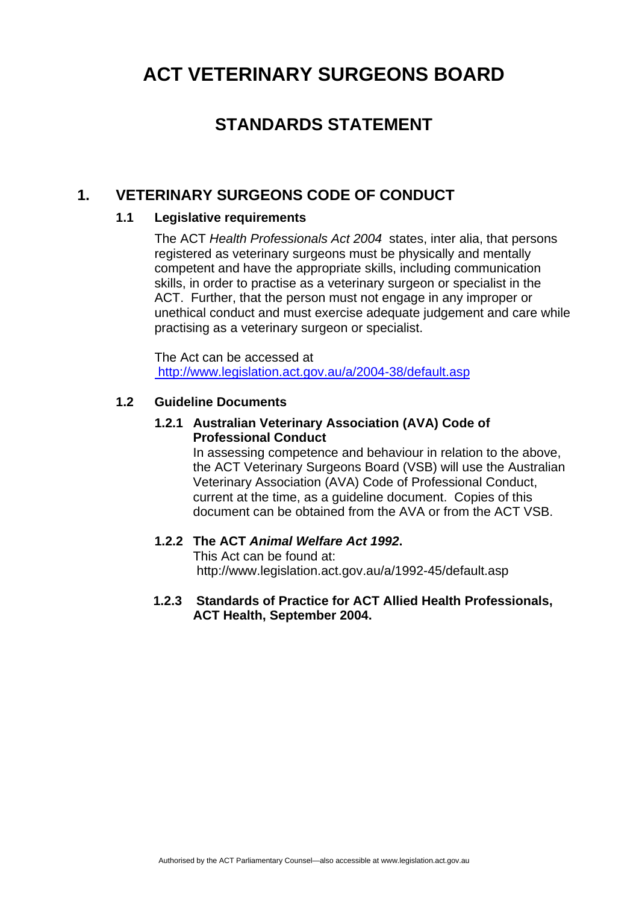## **STANDARDS STATEMENT**

### **1. VETERINARY SURGEONS CODE OF CONDUCT**

### **1.1 Legislative requirements**

The ACT *Health Professionals Act 2004* states, inter alia, that persons registered as veterinary surgeons must be physically and mentally competent and have the appropriate skills, including communication skills, in order to practise as a veterinary surgeon or specialist in the ACT. Further, that the person must not engage in any improper or unethical conduct and must exercise adequate judgement and care while practising as a veterinary surgeon or specialist.

The Act can be accessed at <http://www.legislation.act.gov.au/a/2004-38/default.asp>

### **1.2 Guideline Documents**

### **1.2.1 Australian Veterinary Association (AVA) Code of Professional Conduct**

In assessing competence and behaviour in relation to the above, the ACT Veterinary Surgeons Board (VSB) will use the Australian Veterinary Association (AVA) Code of Professional Conduct, current at the time, as a guideline document. Copies of this document can be obtained from the AVA or from the ACT VSB.

### **1.2.2 The ACT** *Animal Welfare Act 1992***.**

This Act can be found at: http://www.legislation.act.gov.au/a/1992-45/default.asp

### **1.2.3 Standards of Practice for ACT Allied Health Professionals, ACT Health, September 2004.**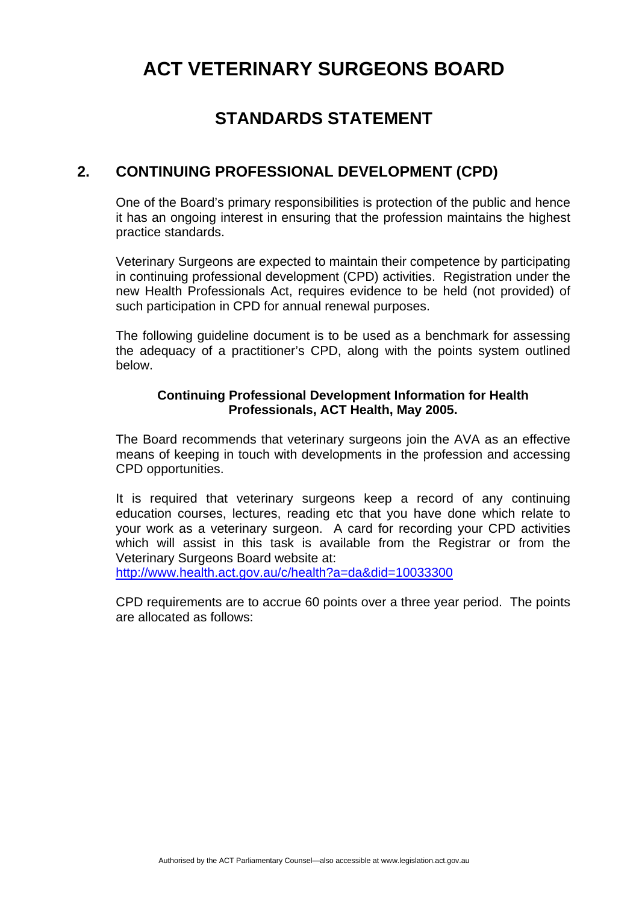## **STANDARDS STATEMENT**

### **2. CONTINUING PROFESSIONAL DEVELOPMENT (CPD)**

One of the Board's primary responsibilities is protection of the public and hence it has an ongoing interest in ensuring that the profession maintains the highest practice standards.

Veterinary Surgeons are expected to maintain their competence by participating in continuing professional development (CPD) activities. Registration under the new Health Professionals Act, requires evidence to be held (not provided) of such participation in CPD for annual renewal purposes.

The following guideline document is to be used as a benchmark for assessing the adequacy of a practitioner's CPD, along with the points system outlined below.

### **Continuing Professional Development Information for Health Professionals, ACT Health, May 2005.**

The Board recommends that veterinary surgeons join the AVA as an effective means of keeping in touch with developments in the profession and accessing CPD opportunities.

It is required that veterinary surgeons keep a record of any continuing education courses, lectures, reading etc that you have done which relate to your work as a veterinary surgeon. A card for recording your CPD activities which will assist in this task is available from the Registrar or from the Veterinary Surgeons Board website at:

<http://www.health.act.gov.au/c/health?a=da&did=10033300>

CPD requirements are to accrue 60 points over a three year period. The points are allocated as follows: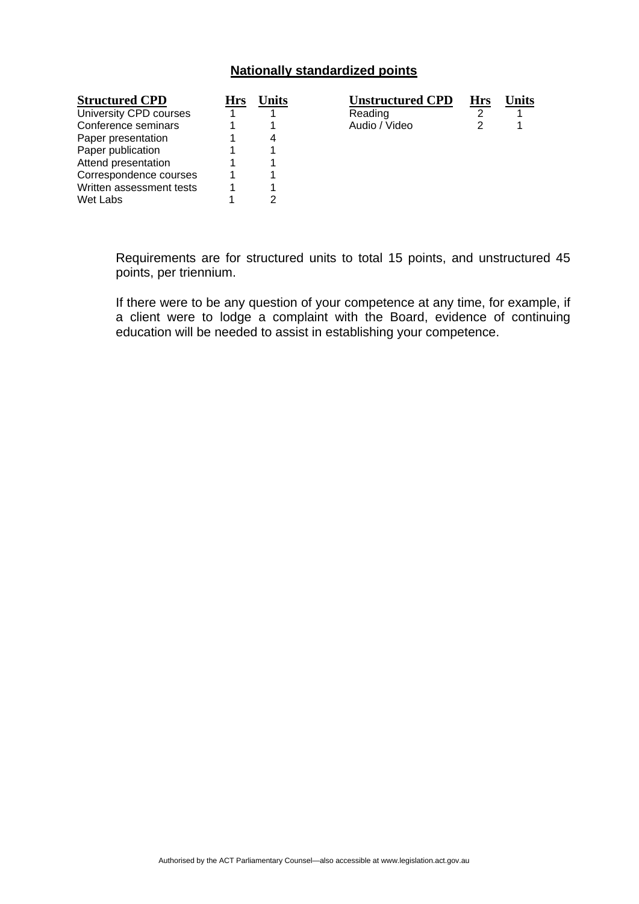### **Nationally standardized points**

| <b>Structured CPD</b>    | <b>Hrs</b> | Jnits | <b>Unstructured CPD</b> | Hrs | Jnits |
|--------------------------|------------|-------|-------------------------|-----|-------|
| University CPD courses   |            |       | Reading                 |     |       |
| Conference seminars      |            |       | Audio / Video           |     |       |
| Paper presentation       |            | 4     |                         |     |       |
| Paper publication        |            |       |                         |     |       |
| Attend presentation      |            |       |                         |     |       |
| Correspondence courses   |            |       |                         |     |       |
| Written assessment tests |            |       |                         |     |       |
| Wet Labs                 |            | ົ     |                         |     |       |

Requirements are for structured units to total 15 points, and unstructured 45 points, per triennium.

If there were to be any question of your competence at any time, for example, if a client were to lodge a complaint with the Board, evidence of continuing education will be needed to assist in establishing your competence.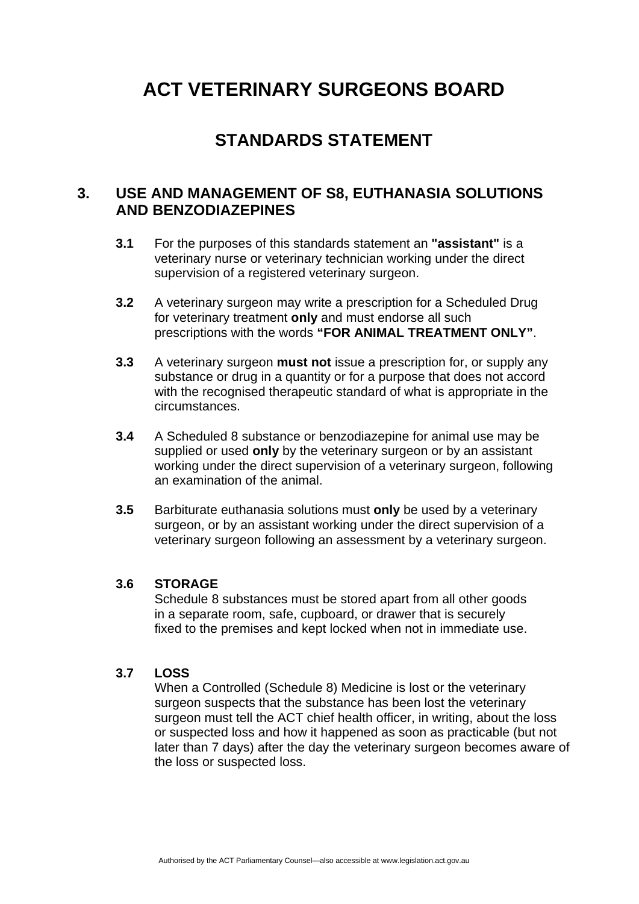# **STANDARDS STATEMENT**

### **3. USE AND MANAGEMENT OF S8, EUTHANASIA SOLUTIONS AND BENZODIAZEPINES**

- **3.1** For the purposes of this standards statement an **"assistant"** is a veterinary nurse or veterinary technician working under the direct supervision of a registered veterinary surgeon.
- **3.2** A veterinary surgeon may write a prescription for a Scheduled Drug for veterinary treatment **only** and must endorse all such prescriptions with the words **"FOR ANIMAL TREATMENT ONLY"**.
- **3.3** A veterinary surgeon **must not** issue a prescription for, or supply any substance or drug in a quantity or for a purpose that does not accord with the recognised therapeutic standard of what is appropriate in the circumstances.
- **3.4** A Scheduled 8 substance or benzodiazepine for animal use may be supplied or used **only** by the veterinary surgeon or by an assistant working under the direct supervision of a veterinary surgeon, following an examination of the animal.
- **3.5** Barbiturate euthanasia solutions must **only** be used by a veterinary surgeon, or by an assistant working under the direct supervision of a veterinary surgeon following an assessment by a veterinary surgeon.

### **3.6 STORAGE**

Schedule 8 substances must be stored apart from all other goods in a separate room, safe, cupboard, or drawer that is securely fixed to the premises and kept locked when not in immediate use.

### **3.7 LOSS**

When a Controlled (Schedule 8) Medicine is lost or the veterinary surgeon suspects that the substance has been lost the veterinary surgeon must tell the ACT chief health officer, in writing, about the loss or suspected loss and how it happened as soon as practicable (but not later than 7 days) after the day the veterinary surgeon becomes aware of the loss or suspected loss.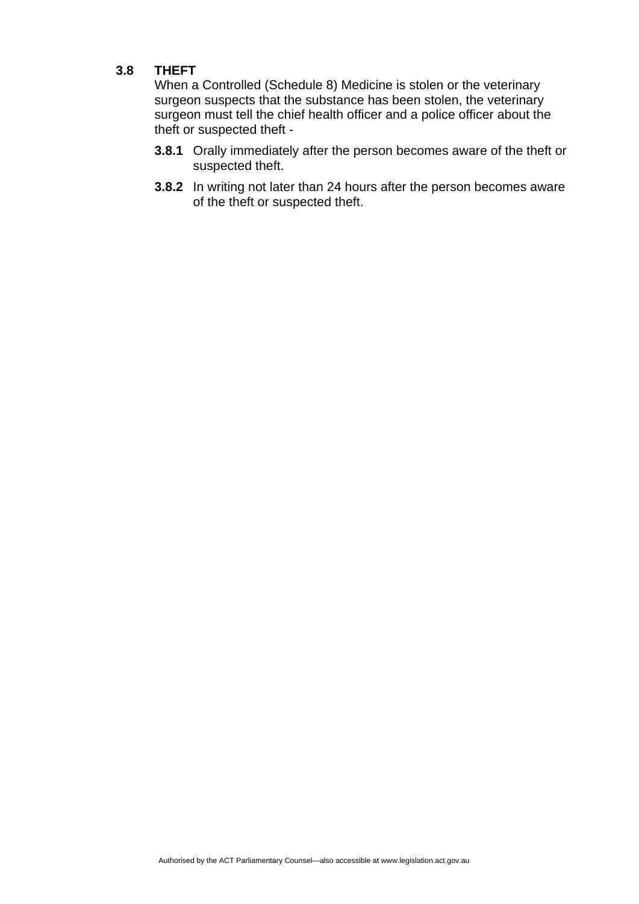### **3.8 THEFT**

 When a Controlled (Schedule 8) Medicine is stolen or the veterinary surgeon suspects that the substance has been stolen, the veterinary surgeon must tell the chief health officer and a police officer about the theft or suspected theft -

- **3.8.1** Orally immediately after the person becomes aware of the theft or suspected theft.
- **3.8.2** In writing not later than 24 hours after the person becomes aware of the theft or suspected theft.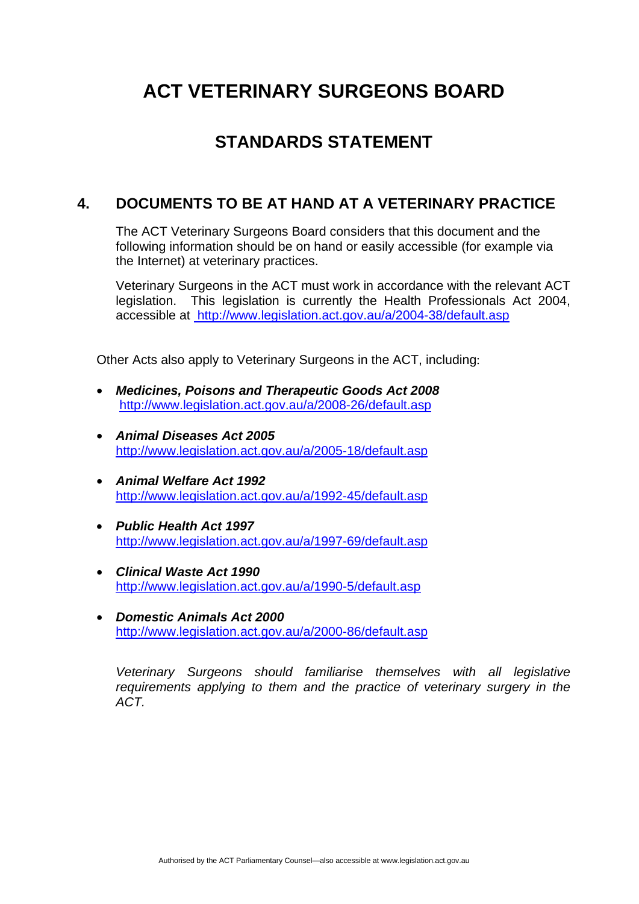# **STANDARDS STATEMENT**

### **4. DOCUMENTS TO BE AT HAND AT A VETERINARY PRACTICE**

The ACT Veterinary Surgeons Board considers that this document and the following information should be on hand or easily accessible (for example via the Internet) at veterinary practices.

Veterinary Surgeons in the ACT must work in accordance with the relevant ACT legislation. This legislation is currently the Health Professionals Act 2004, accessible at [http://www.legislation.act.gov.au/a/2004-38/default.asp](http://www.legislation.act.gov.au/a/1965-3/default.asp)

Other Acts also apply to Veterinary Surgeons in the ACT, including:

- *Medicines, Poisons and Therapeutic Goods Act 2008*  <http://www.legislation.act.gov.au/a/2008-26/default.asp>
- *Animal Diseases Act 2005*  <http://www.legislation.act.gov.au/a/2005-18/default.asp>
- *Animal Welfare Act 1992*  <http://www.legislation.act.gov.au/a/1992-45/default.asp>
- *Public Health Act 1997*  <http://www.legislation.act.gov.au/a/1997-69/default.asp>
- *Clinical Waste Act 1990*  <http://www.legislation.act.gov.au/a/1990-5/default.asp>
- *Domestic Animals Act 2000*  <http://www.legislation.act.gov.au/a/2000-86/default.asp>

*Veterinary Surgeons should familiarise themselves with all legislative requirements applying to them and the practice of veterinary surgery in the ACT.*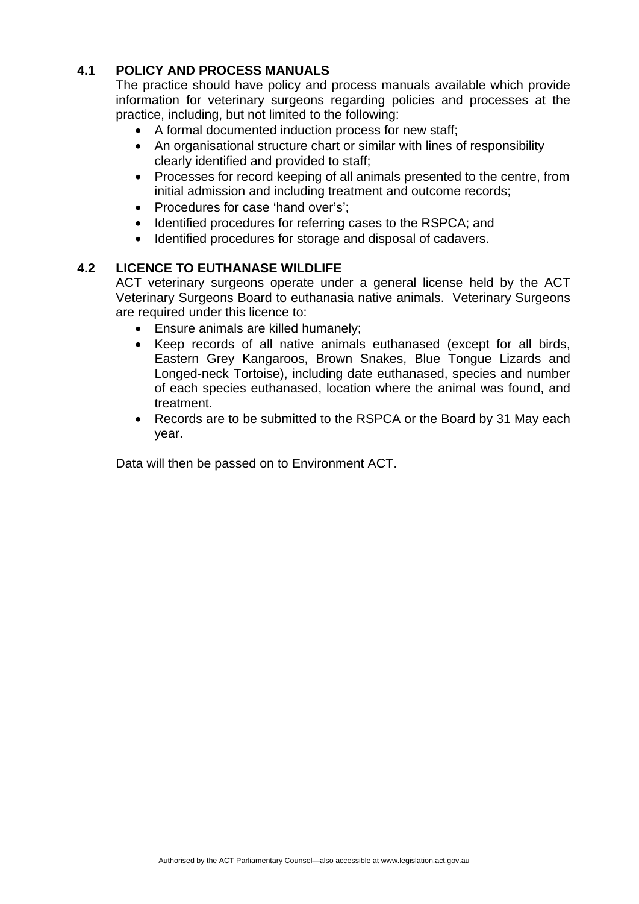### **4.1 POLICY AND PROCESS MANUALS**

The practice should have policy and process manuals available which provide information for veterinary surgeons regarding policies and processes at the practice, including, but not limited to the following:

- A formal documented induction process for new staff;
- An organisational structure chart or similar with lines of responsibility clearly identified and provided to staff;
- Processes for record keeping of all animals presented to the centre, from initial admission and including treatment and outcome records;
- Procedures for case 'hand over's';
- Identified procedures for referring cases to the RSPCA; and
- Identified procedures for storage and disposal of cadavers.

### **4.2 LICENCE TO EUTHANASE WILDLIFE**

ACT veterinary surgeons operate under a general license held by the ACT Veterinary Surgeons Board to euthanasia native animals. Veterinary Surgeons are required under this licence to:

- Ensure animals are killed humanely;
- Keep records of all native animals euthanased (except for all birds, Eastern Grey Kangaroos, Brown Snakes, Blue Tongue Lizards and Longed-neck Tortoise), including date euthanased, species and number of each species euthanased, location where the animal was found, and treatment.
- Records are to be submitted to the RSPCA or the Board by 31 May each year.

Data will then be passed on to Environment ACT.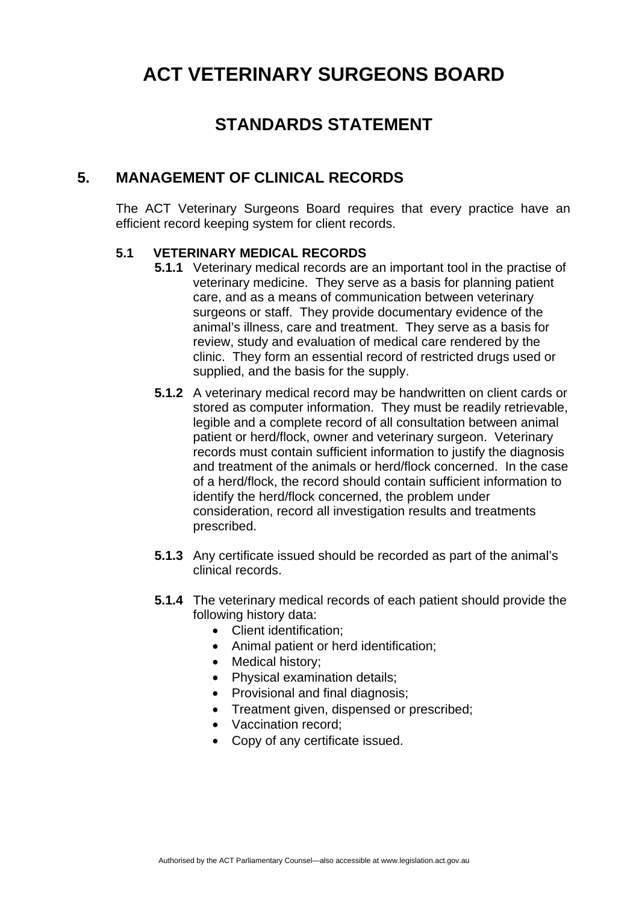## **STANDARDS STATEMENT**

### **5. MANAGEMENT OF CLINICAL RECORDS**

The ACT Veterinary Surgeons Board requires that every practice have an efficient record keeping system for client records.

### **5.1 VETERINARY MEDICAL RECORDS**

- **5.1.1** Veterinary medical records are an important tool in the practise of veterinary medicine. They serve as a basis for planning patient care, and as a means of communication between veterinary surgeons or staff. They provide documentary evidence of the animal's illness, care and treatment. They serve as a basis for review, study and evaluation of medical care rendered by the clinic. They form an essential record of restricted drugs used or supplied, and the basis for the supply.
- **5.1.2** A veterinary medical record may be handwritten on client cards or stored as computer information. They must be readily retrievable, legible and a complete record of all consultation between animal patient or herd/flock, owner and veterinary surgeon. Veterinary records must contain sufficient information to justify the diagnosis and treatment of the animals or herd/flock concerned. In the case of a herd/flock, the record should contain sufficient information to identify the herd/flock concerned, the problem under consideration, record all investigation results and treatments prescribed.
- **5.1.3** Any certificate issued should be recorded as part of the animal's clinical records.
- **5.1.4** The veterinary medical records of each patient should provide the following history data:
	- Client identification:
	- Animal patient or herd identification;
	- Medical history;
	- Physical examination details:
	- Provisional and final diagnosis;
	- Treatment given, dispensed or prescribed;
	- Vaccination record:
	- Copy of any certificate issued.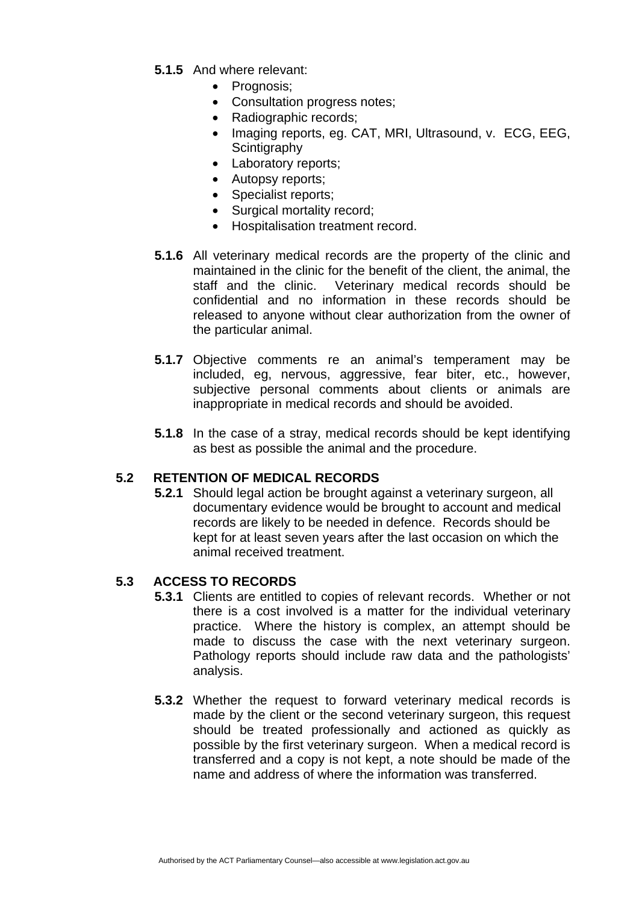- **5.1.5** And where relevant:
	- Prognosis:
	- Consultation progress notes;
	- Radiographic records:
	- Imaging reports, eg. CAT, MRI, Ultrasound, v. ECG, EEG, **Scintigraphy**
	- Laboratory reports;
	- Autopsy reports;
	- Specialist reports:
	- Surgical mortality record;
	- Hospitalisation treatment record.
- **5.1.6** All veterinary medical records are the property of the clinic and maintained in the clinic for the benefit of the client, the animal, the staff and the clinic. Veterinary medical records should be confidential and no information in these records should be released to anyone without clear authorization from the owner of the particular animal.
- **5.1.7** Objective comments re an animal's temperament may be included, eg, nervous, aggressive, fear biter, etc., however, subjective personal comments about clients or animals are inappropriate in medical records and should be avoided.
- **5.1.8** In the case of a stray, medical records should be kept identifying as best as possible the animal and the procedure.

### **5.2 RETENTION OF MEDICAL RECORDS**

**5.2.1** Should legal action be brought against a veterinary surgeon, all documentary evidence would be brought to account and medical records are likely to be needed in defence. Records should be kept for at least seven years after the last occasion on which the animal received treatment.

### **5.3 ACCESS TO RECORDS**

- **5.3.1** Clients are entitled to copies of relevant records. Whether or not there is a cost involved is a matter for the individual veterinary practice. Where the history is complex, an attempt should be made to discuss the case with the next veterinary surgeon. Pathology reports should include raw data and the pathologists' analysis.
- **5.3.2** Whether the request to forward veterinary medical records is made by the client or the second veterinary surgeon, this request should be treated professionally and actioned as quickly as possible by the first veterinary surgeon. When a medical record is transferred and a copy is not kept, a note should be made of the name and address of where the information was transferred.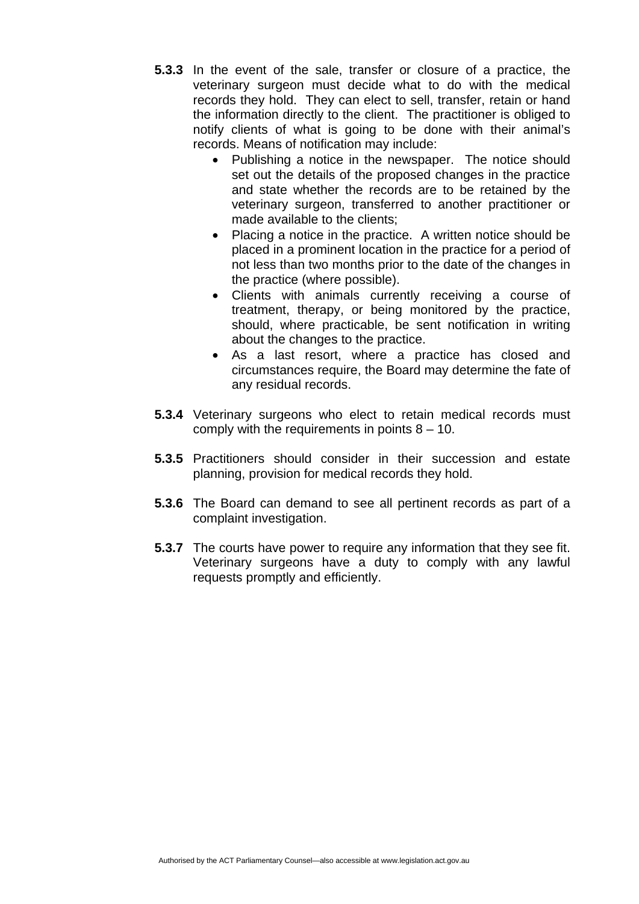- **5.3.3** In the event of the sale, transfer or closure of a practice, the veterinary surgeon must decide what to do with the medical records they hold. They can elect to sell, transfer, retain or hand the information directly to the client. The practitioner is obliged to notify clients of what is going to be done with their animal's records. Means of notification may include:
	- Publishing a notice in the newspaper. The notice should set out the details of the proposed changes in the practice and state whether the records are to be retained by the veterinary surgeon, transferred to another practitioner or made available to the clients;
	- Placing a notice in the practice. A written notice should be placed in a prominent location in the practice for a period of not less than two months prior to the date of the changes in the practice (where possible).
	- Clients with animals currently receiving a course of treatment, therapy, or being monitored by the practice, should, where practicable, be sent notification in writing about the changes to the practice.
	- As a last resort, where a practice has closed and circumstances require, the Board may determine the fate of any residual records.
- **5.3.4** Veterinary surgeons who elect to retain medical records must comply with the requirements in points  $8 - 10$ .
- **5.3.5** Practitioners should consider in their succession and estate planning, provision for medical records they hold.
- **5.3.6** The Board can demand to see all pertinent records as part of a complaint investigation.
- **5.3.7** The courts have power to require any information that they see fit. Veterinary surgeons have a duty to comply with any lawful requests promptly and efficiently.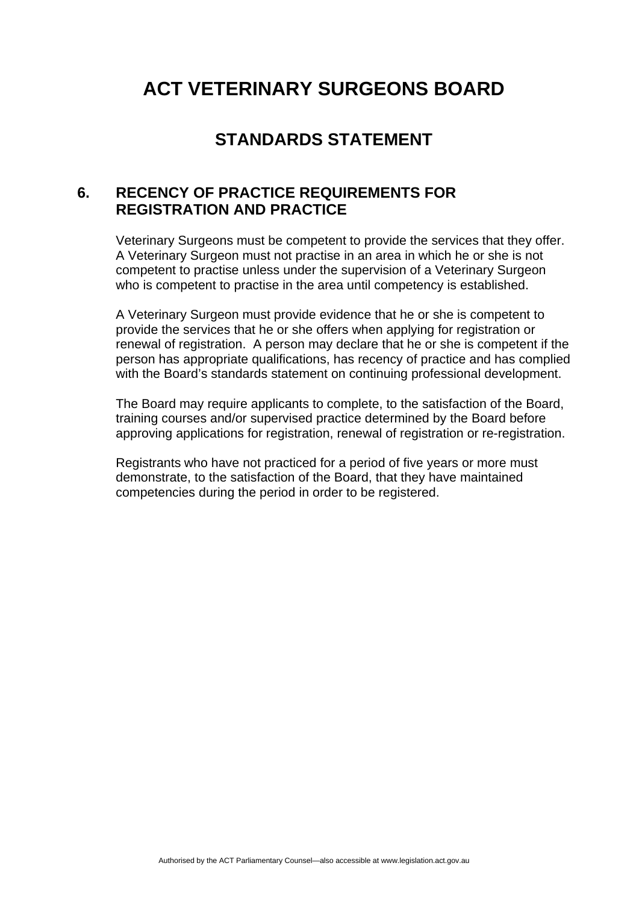## **STANDARDS STATEMENT**

### **6. RECENCY OF PRACTICE REQUIREMENTS FOR REGISTRATION AND PRACTICE**

Veterinary Surgeons must be competent to provide the services that they offer. A Veterinary Surgeon must not practise in an area in which he or she is not competent to practise unless under the supervision of a Veterinary Surgeon who is competent to practise in the area until competency is established.

A Veterinary Surgeon must provide evidence that he or she is competent to provide the services that he or she offers when applying for registration or renewal of registration. A person may declare that he or she is competent if the person has appropriate qualifications, has recency of practice and has complied with the Board's standards statement on continuing professional development.

The Board may require applicants to complete, to the satisfaction of the Board, training courses and/or supervised practice determined by the Board before approving applications for registration, renewal of registration or re-registration.

 Registrants who have not practiced for a period of five years or more must demonstrate, to the satisfaction of the Board, that they have maintained competencies during the period in order to be registered.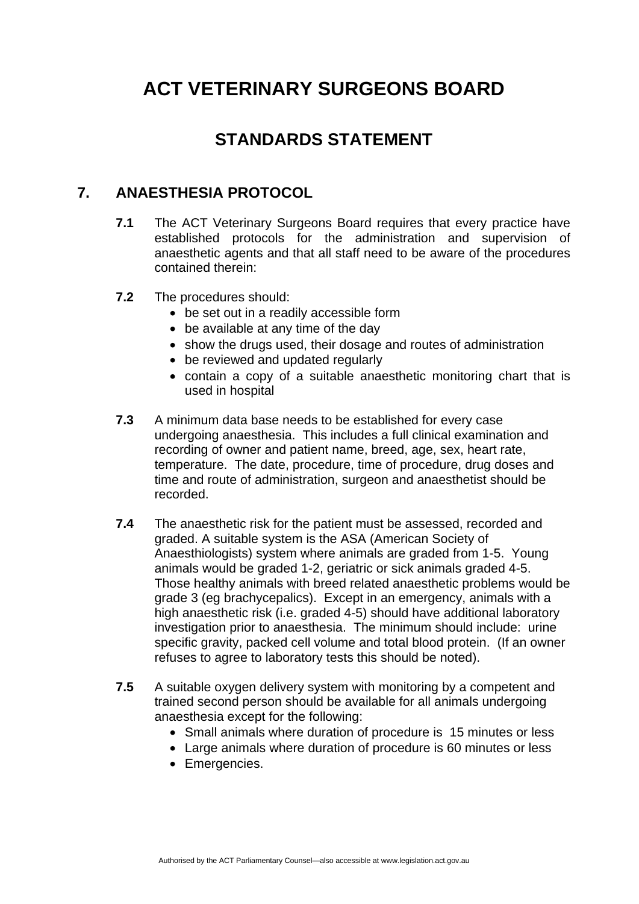# **STANDARDS STATEMENT**

### **7. ANAESTHESIA PROTOCOL**

- **7.1** The ACT Veterinary Surgeons Board requires that every practice have established protocols for the administration and supervision of anaesthetic agents and that all staff need to be aware of the procedures contained therein:
- **7.2** The procedures should:
	- be set out in a readily accessible form
	- be available at any time of the day
	- show the drugs used, their dosage and routes of administration
	- be reviewed and updated regularly
	- contain a copy of a suitable anaesthetic monitoring chart that is used in hospital
- **7.3** A minimum data base needs to be established for every case undergoing anaesthesia. This includes a full clinical examination and recording of owner and patient name, breed, age, sex, heart rate, temperature. The date, procedure, time of procedure, drug doses and time and route of administration, surgeon and anaesthetist should be recorded.
- **7.4** The anaesthetic risk for the patient must be assessed, recorded and graded. A suitable system is the ASA (American Society of Anaesthiologists) system where animals are graded from 1-5. Young animals would be graded 1-2, geriatric or sick animals graded 4-5. Those healthy animals with breed related anaesthetic problems would be grade 3 (eg brachycepalics). Except in an emergency, animals with a high anaesthetic risk (i.e. graded 4-5) should have additional laboratory investigation prior to anaesthesia. The minimum should include: urine specific gravity, packed cell volume and total blood protein. (If an owner refuses to agree to laboratory tests this should be noted).
- **7.5** A suitable oxygen delivery system with monitoring by a competent and trained second person should be available for all animals undergoing anaesthesia except for the following:
	- Small animals where duration of procedure is 15 minutes or less
	- Large animals where duration of procedure is 60 minutes or less
	- Emergencies.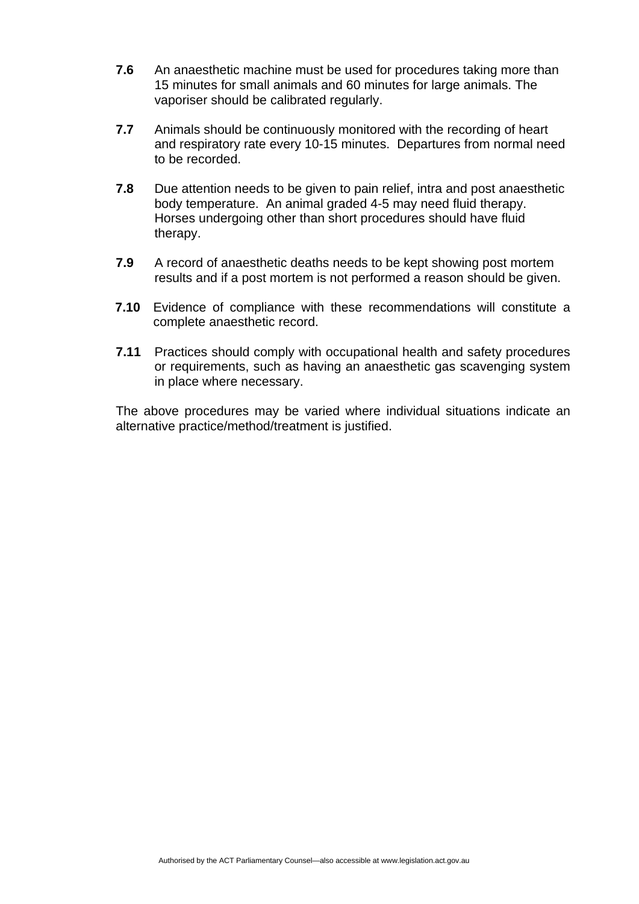- **7.6** An anaesthetic machine must be used for procedures taking more than 15 minutes for small animals and 60 minutes for large animals. The vaporiser should be calibrated regularly.
- **7.7** Animals should be continuously monitored with the recording of heart and respiratory rate every 10-15 minutes. Departures from normal need to be recorded.
- **7.8** Due attention needs to be given to pain relief, intra and post anaesthetic body temperature. An animal graded 4-5 may need fluid therapy. Horses undergoing other than short procedures should have fluid therapy.
- **7.9** A record of anaesthetic deaths needs to be kept showing post mortem results and if a post mortem is not performed a reason should be given.
- **7.10** Evidence of compliance with these recommendations will constitute a complete anaesthetic record.
- **7.11** Practices should comply with occupational health and safety procedures or requirements, such as having an anaesthetic gas scavenging system in place where necessary.

The above procedures may be varied where individual situations indicate an alternative practice/method/treatment is justified.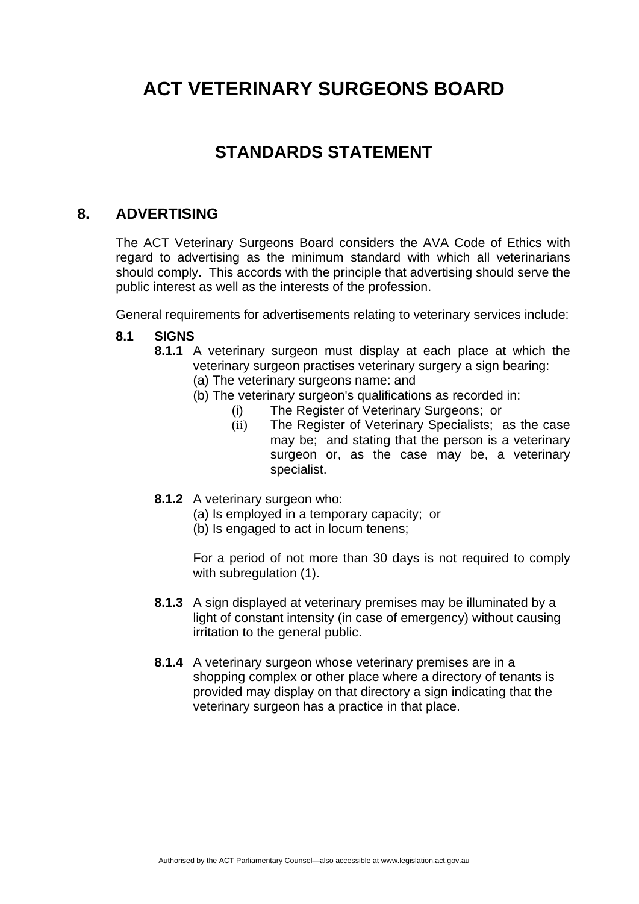## **STANDARDS STATEMENT**

### **8. ADVERTISING**

The ACT Veterinary Surgeons Board considers the AVA Code of Ethics with regard to advertising as the minimum standard with which all veterinarians should comply. This accords with the principle that advertising should serve the public interest as well as the interests of the profession.

General requirements for advertisements relating to veterinary services include:

### **8.1 SIGNS**

- **8.1.1** A veterinary surgeon must display at each place at which the veterinary surgeon practises veterinary surgery a sign bearing:
	- (a) The veterinary surgeons name: and
	- (b) The veterinary surgeon's qualifications as recorded in:
		- (i) The Register of Veterinary Surgeons; or
		- (ii) The Register of Veterinary Specialists; as the case may be; and stating that the person is a veterinary surgeon or, as the case may be, a veterinary specialist.
- **8.1.2** A veterinary surgeon who:
	- (a) Is employed in a temporary capacity; or
	- (b) Is engaged to act in locum tenens;

For a period of not more than 30 days is not required to comply with subregulation (1).

- **8.1.3** A sign displayed at veterinary premises may be illuminated by a light of constant intensity (in case of emergency) without causing irritation to the general public.
- **8.1.4** A veterinary surgeon whose veterinary premises are in a shopping complex or other place where a directory of tenants is provided may display on that directory a sign indicating that the veterinary surgeon has a practice in that place.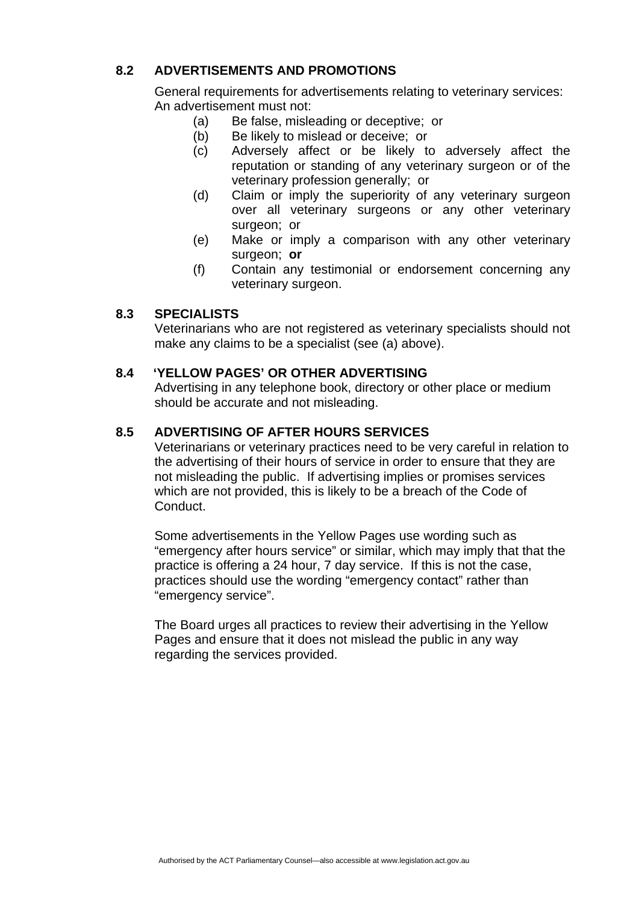### **8.2 ADVERTISEMENTS AND PROMOTIONS**

General requirements for advertisements relating to veterinary services: An advertisement must not:

- (a) Be false, misleading or deceptive; or
- (b) Be likely to mislead or deceive; or
- (c) Adversely affect or be likely to adversely affect the reputation or standing of any veterinary surgeon or of the veterinary profession generally; or
- (d) Claim or imply the superiority of any veterinary surgeon over all veterinary surgeons or any other veterinary surgeon; or
- (e) Make or imply a comparison with any other veterinary surgeon; **or**
- (f) Contain any testimonial or endorsement concerning any veterinary surgeon.

### **8.3 SPECIALISTS**

Veterinarians who are not registered as veterinary specialists should not make any claims to be a specialist (see (a) above).

### **8.4 'YELLOW PAGES' OR OTHER ADVERTISING**

Advertising in any telephone book, directory or other place or medium should be accurate and not misleading.

### **8.5 ADVERTISING OF AFTER HOURS SERVICES**

Veterinarians or veterinary practices need to be very careful in relation to the advertising of their hours of service in order to ensure that they are not misleading the public. If advertising implies or promises services which are not provided, this is likely to be a breach of the Code of Conduct.

Some advertisements in the Yellow Pages use wording such as "emergency after hours service" or similar, which may imply that that the practice is offering a 24 hour, 7 day service. If this is not the case, practices should use the wording "emergency contact" rather than "emergency service".

The Board urges all practices to review their advertising in the Yellow Pages and ensure that it does not mislead the public in any way regarding the services provided.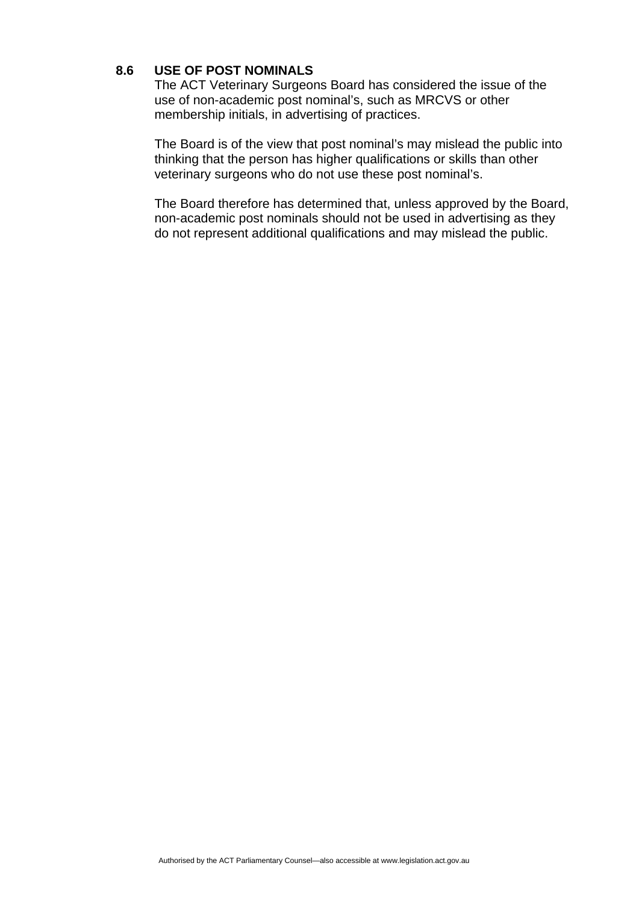### **8.6 USE OF POST NOMINALS**

The ACT Veterinary Surgeons Board has considered the issue of the use of non-academic post nominal's, such as MRCVS or other membership initials, in advertising of practices.

The Board is of the view that post nominal's may mislead the public into thinking that the person has higher qualifications or skills than other veterinary surgeons who do not use these post nominal's.

The Board therefore has determined that, unless approved by the Board, non-academic post nominals should not be used in advertising as they do not represent additional qualifications and may mislead the public.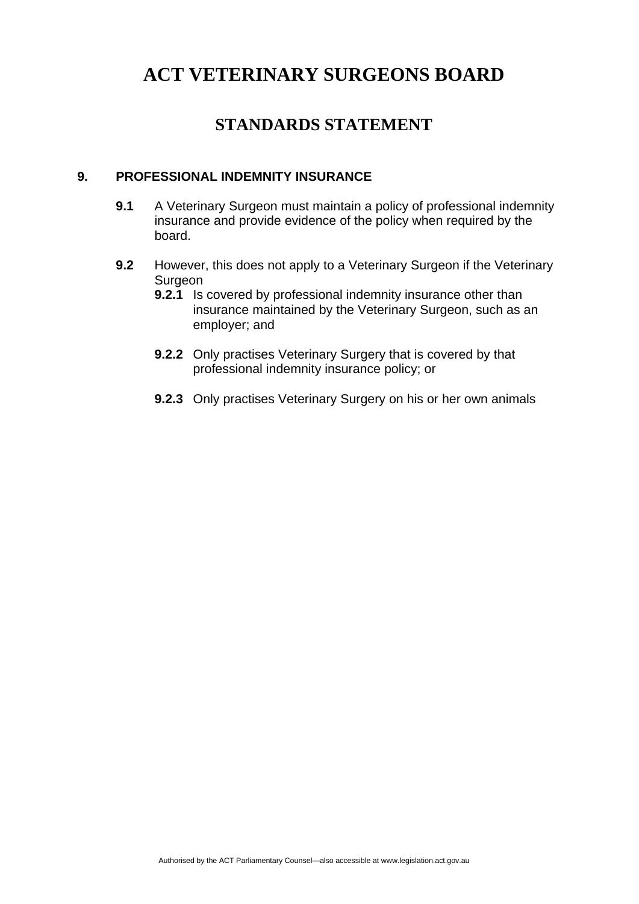## **STANDARDS STATEMENT**

### **9. PROFESSIONAL INDEMNITY INSURANCE**

- **9.1** A Veterinary Surgeon must maintain a policy of professional indemnity insurance and provide evidence of the policy when required by the board.
- **9.2** However, this does not apply to a Veterinary Surgeon if the Veterinary Surgeon
	- **9.2.1** Is covered by professional indemnity insurance other than insurance maintained by the Veterinary Surgeon, such as an employer; and
	- **9.2.2** Only practises Veterinary Surgery that is covered by that professional indemnity insurance policy; or
	- **9.2.3** Only practises Veterinary Surgery on his or her own animals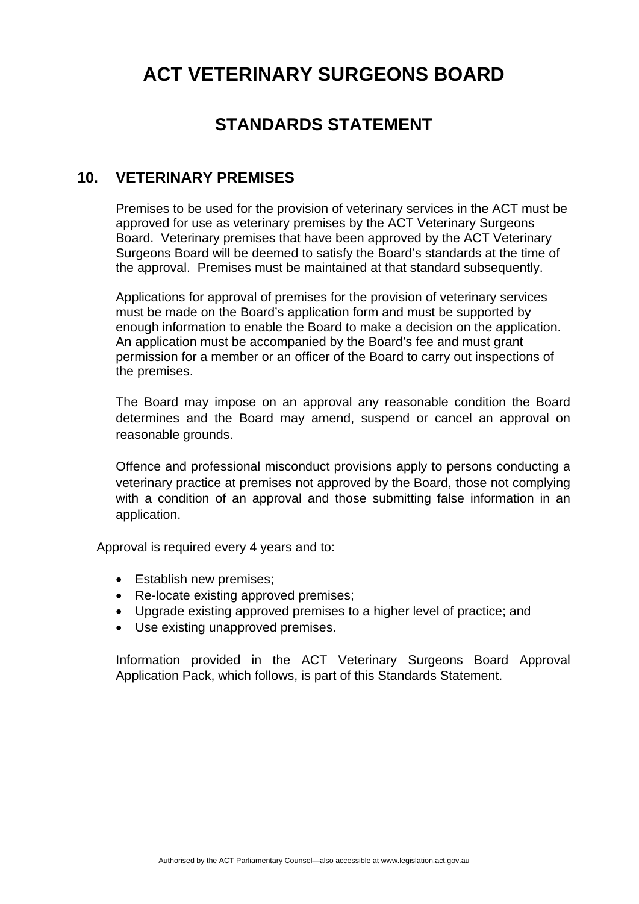## **STANDARDS STATEMENT**

### **10. VETERINARY PREMISES**

Premises to be used for the provision of veterinary services in the ACT must be approved for use as veterinary premises by the ACT Veterinary Surgeons Board. Veterinary premises that have been approved by the ACT Veterinary Surgeons Board will be deemed to satisfy the Board's standards at the time of the approval. Premises must be maintained at that standard subsequently.

Applications for approval of premises for the provision of veterinary services must be made on the Board's application form and must be supported by enough information to enable the Board to make a decision on the application. An application must be accompanied by the Board's fee and must grant permission for a member or an officer of the Board to carry out inspections of the premises.

The Board may impose on an approval any reasonable condition the Board determines and the Board may amend, suspend or cancel an approval on reasonable grounds.

Offence and professional misconduct provisions apply to persons conducting a veterinary practice at premises not approved by the Board, those not complying with a condition of an approval and those submitting false information in an application.

Approval is required every 4 years and to:

- Establish new premises;
- Re-locate existing approved premises;
- Upgrade existing approved premises to a higher level of practice; and
- Use existing unapproved premises.

Information provided in the ACT Veterinary Surgeons Board Approval Application Pack, which follows, is part of this Standards Statement.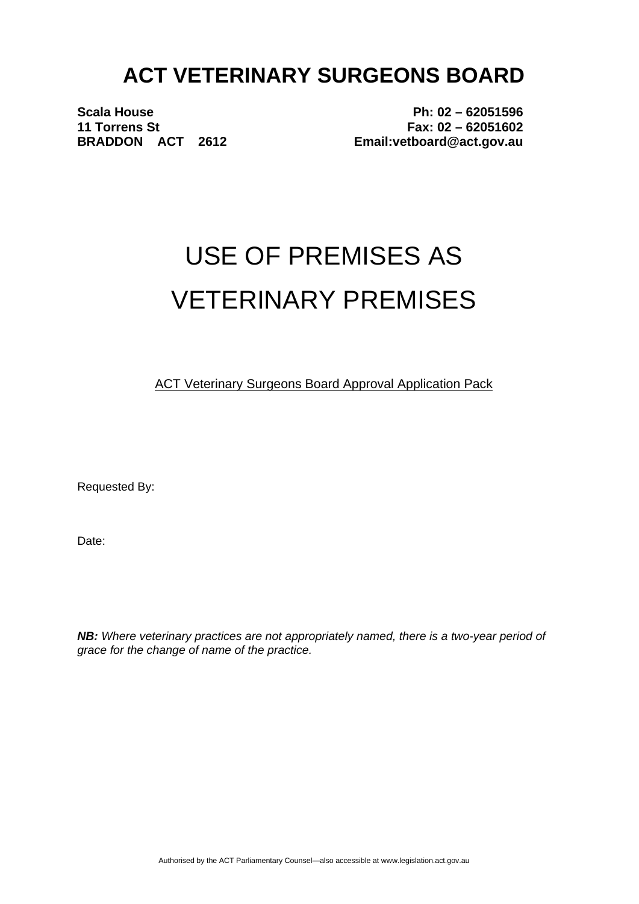**Scala House 11 Torrens St BRADDON ACT 2612** 

**Ph: 02 – 62051596 Fax: 02 – 62051602 Email:vetboard@act.gov.au** 

# USE OF PREMISES AS VETERINARY PREMISES

ACT Veterinary Surgeons Board Approval Application Pack

Requested By:

Date:

*NB: Where veterinary practices are not appropriately named, there is a two-year period of grace for the change of name of the practice.*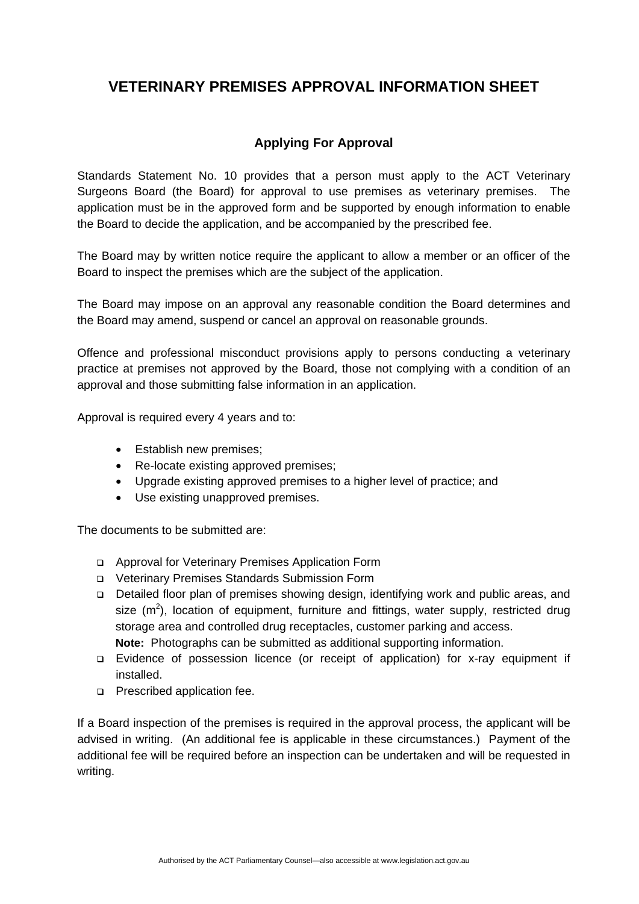## **VETERINARY PREMISES APPROVAL INFORMATION SHEET**

### **Applying For Approval**

Standards Statement No. 10 provides that a person must apply to the ACT Veterinary Surgeons Board (the Board) for approval to use premises as veterinary premises. The application must be in the approved form and be supported by enough information to enable the Board to decide the application, and be accompanied by the prescribed fee.

The Board may by written notice require the applicant to allow a member or an officer of the Board to inspect the premises which are the subject of the application.

The Board may impose on an approval any reasonable condition the Board determines and the Board may amend, suspend or cancel an approval on reasonable grounds.

Offence and professional misconduct provisions apply to persons conducting a veterinary practice at premises not approved by the Board, those not complying with a condition of an approval and those submitting false information in an application.

Approval is required every 4 years and to:

- Establish new premises:
- Re-locate existing approved premises:
- Upgrade existing approved premises to a higher level of practice; and
- Use existing unapproved premises.

The documents to be submitted are:

- Approval for Veterinary Premises Application Form
- Veterinary Premises Standards Submission Form
- Detailed floor plan of premises showing design, identifying work and public areas, and size  $(m^2)$ , location of equipment, furniture and fittings, water supply, restricted drug storage area and controlled drug receptacles, customer parking and access. **Note:** Photographs can be submitted as additional supporting information.
- Evidence of possession licence (or receipt of application) for x-ray equipment if installed.
- **Prescribed application fee.**

If a Board inspection of the premises is required in the approval process, the applicant will be advised in writing. (An additional fee is applicable in these circumstances.)Payment of the additional fee will be required before an inspection can be undertaken and will be requested in writing.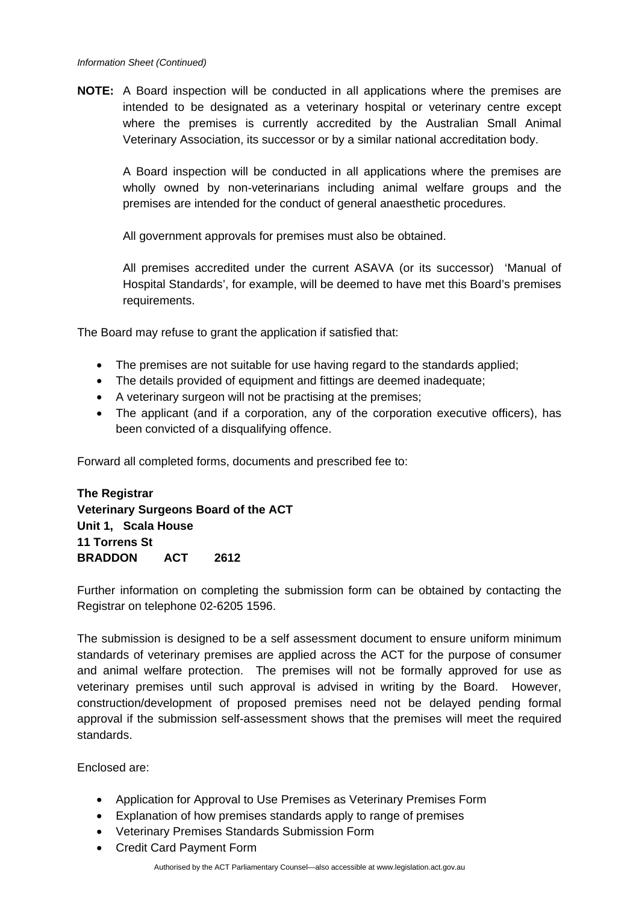**NOTE:** A Board inspection will be conducted in all applications where the premises are intended to be designated as a veterinary hospital or veterinary centre except where the premises is currently accredited by the Australian Small Animal Veterinary Association, its successor or by a similar national accreditation body.

A Board inspection will be conducted in all applications where the premises are wholly owned by non-veterinarians including animal welfare groups and the premises are intended for the conduct of general anaesthetic procedures.

All government approvals for premises must also be obtained.

All premises accredited under the current ASAVA (or its successor) 'Manual of Hospital Standards', for example, will be deemed to have met this Board's premises requirements.

The Board may refuse to grant the application if satisfied that:

- The premises are not suitable for use having regard to the standards applied:
- The details provided of equipment and fittings are deemed inadequate;
- A veterinary surgeon will not be practising at the premises;
- The applicant (and if a corporation, any of the corporation executive officers), has been convicted of a disqualifying offence.

Forward all completed forms, documents and prescribed fee to:

**The Registrar Veterinary Surgeons Board of the ACT Unit 1, Scala House 11 Torrens St BRADDON ACT 2612** 

Further information on completing the submission form can be obtained by contacting the Registrar on telephone 02-6205 1596.

The submission is designed to be a self assessment document to ensure uniform minimum standards of veterinary premises are applied across the ACT for the purpose of consumer and animal welfare protection. The premises will not be formally approved for use as veterinary premises until such approval is advised in writing by the Board. However, construction/development of proposed premises need not be delayed pending formal approval if the submission self-assessment shows that the premises will meet the required standards.

Enclosed are:

- Application for Approval to Use Premises as Veterinary Premises Form
- Explanation of how premises standards apply to range of premises
- Veterinary Premises Standards Submission Form
- Credit Card Payment Form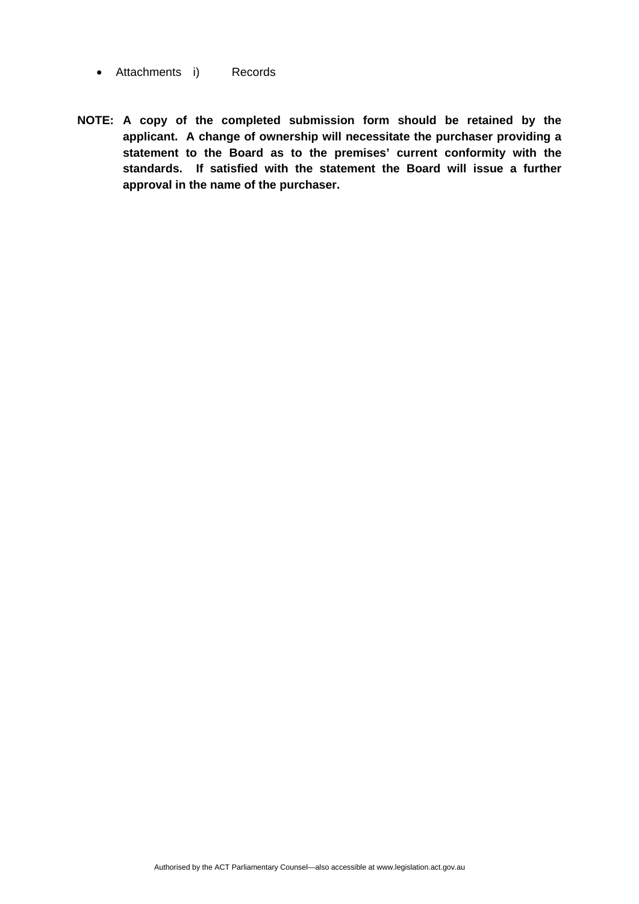- Attachments i) Records
- **NOTE: A copy of the completed submission form should be retained by the applicant. A change of ownership will necessitate the purchaser providing a statement to the Board as to the premises' current conformity with the standards. If satisfied with the statement the Board will issue a further approval in the name of the purchaser.**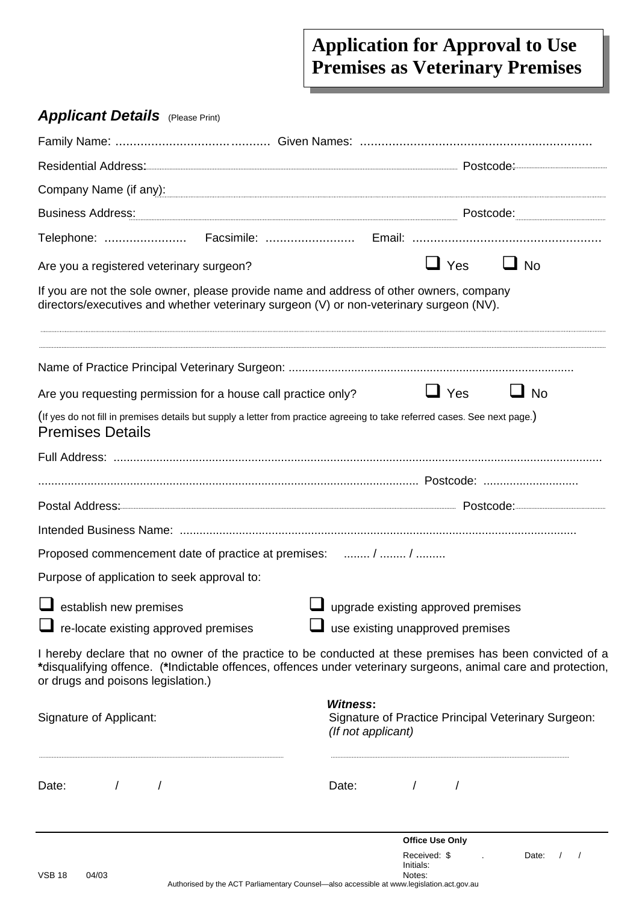# **Application for Approval to Use Premises as Veterinary Premises**

# *Applicant Details* (Please Print)

| Company Name (if any): company Name (if any) and the substitution of the substitution of the substitution of the substitution of the substitution of the substitution of the substitution of the substitution of the substitut                                   |                                                   |                                        |                                                     |
|------------------------------------------------------------------------------------------------------------------------------------------------------------------------------------------------------------------------------------------------------------------|---------------------------------------------------|----------------------------------------|-----------------------------------------------------|
|                                                                                                                                                                                                                                                                  |                                                   |                                        |                                                     |
|                                                                                                                                                                                                                                                                  |                                                   |                                        |                                                     |
| Are you a registered veterinary surgeon?                                                                                                                                                                                                                         |                                                   | $\Box$ Yes                             | $\Box$ No                                           |
| If you are not the sole owner, please provide name and address of other owners, company<br>directors/executives and whether veterinary surgeon (V) or non-veterinary surgeon (NV).                                                                               |                                                   |                                        |                                                     |
|                                                                                                                                                                                                                                                                  |                                                   |                                        |                                                     |
| Are you requesting permission for a house call practice only?                                                                                                                                                                                                    |                                                   | $\Box$ Yes                             | $\Box$ No                                           |
| (If yes do not fill in premises details but supply a letter from practice agreeing to take referred cases. See next page.)<br><b>Premises Details</b>                                                                                                            |                                                   |                                        |                                                     |
|                                                                                                                                                                                                                                                                  |                                                   |                                        |                                                     |
|                                                                                                                                                                                                                                                                  |                                                   |                                        |                                                     |
|                                                                                                                                                                                                                                                                  |                                                   |                                        |                                                     |
|                                                                                                                                                                                                                                                                  |                                                   |                                        |                                                     |
| Proposed commencement date of practice at premises:  /  /                                                                                                                                                                                                        |                                                   |                                        |                                                     |
| Purpose of application to seek approval to:                                                                                                                                                                                                                      |                                                   |                                        |                                                     |
| $\Box$ establish new premises                                                                                                                                                                                                                                    | $\blacksquare$ upgrade existing approved premises |                                        |                                                     |
| $\Box$ re-locate existing approved premises                                                                                                                                                                                                                      | use existing unapproved premises                  |                                        |                                                     |
| I hereby declare that no owner of the practice to be conducted at these premises has been convicted of a<br>*disqualifying offence. (*Indictable offences, offences under veterinary surgeons, animal care and protection,<br>or drugs and poisons legislation.) |                                                   |                                        |                                                     |
| Signature of Applicant:                                                                                                                                                                                                                                          | <b>Witness:</b><br>(If not applicant)             |                                        | Signature of Practice Principal Veterinary Surgeon: |
| Date:                                                                                                                                                                                                                                                            | Date:<br>$\sqrt{2}$                               |                                        |                                                     |
|                                                                                                                                                                                                                                                                  |                                                   | <b>Office Use Only</b><br>Received: \$ | Date:                                               |

Initials:

VSB 18 04/03 Notes: Authorised by the ACT Parliamentary Counsel—also accessible at www.legislation.act.gov.au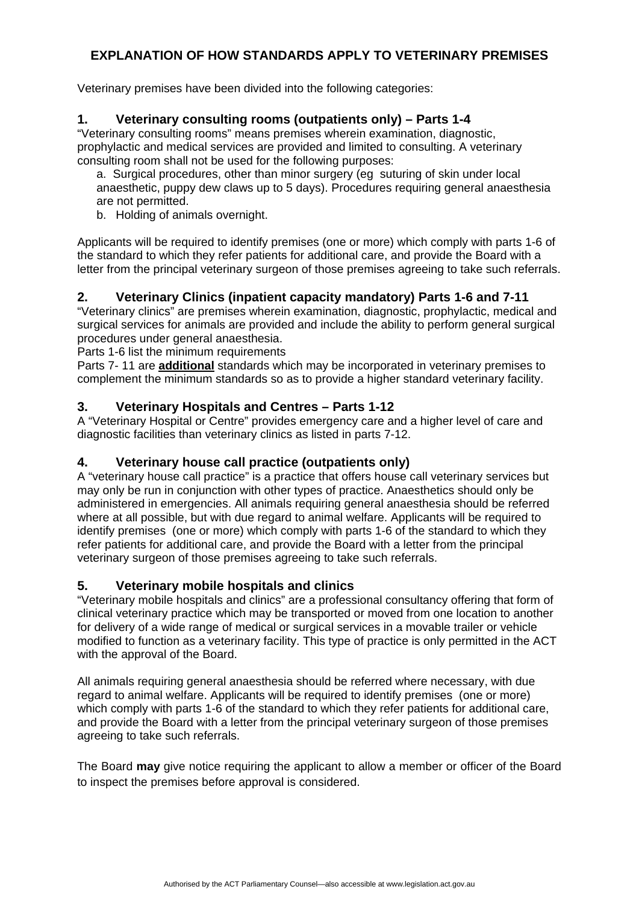### **EXPLANATION OF HOW STANDARDS APPLY TO VETERINARY PREMISES**

Veterinary premises have been divided into the following categories:

### **1. Veterinary consulting rooms (outpatients only) – Parts 1-4**

"Veterinary consulting rooms" means premises wherein examination, diagnostic, prophylactic and medical services are provided and limited to consulting. A veterinary consulting room shall not be used for the following purposes:

a. Surgical procedures, other than minor surgery (eg suturing of skin under local anaesthetic, puppy dew claws up to 5 days). Procedures requiring general anaesthesia are not permitted.

b. Holding of animals overnight.

Applicants will be required to identify premises (one or more) which comply with parts 1-6 of the standard to which they refer patients for additional care, and provide the Board with a letter from the principal veterinary surgeon of those premises agreeing to take such referrals.

### **2. Veterinary Clinics (inpatient capacity mandatory) Parts 1-6 and 7-11**

"Veterinary clinics" are premises wherein examination, diagnostic, prophylactic, medical and surgical services for animals are provided and include the ability to perform general surgical procedures under general anaesthesia.

Parts 1-6 list the minimum requirements

Parts 7- 11 are **additional** standards which may be incorporated in veterinary premises to complement the minimum standards so as to provide a higher standard veterinary facility.

### **3. Veterinary Hospitals and Centres – Parts 1-12**

A "Veterinary Hospital or Centre" provides emergency care and a higher level of care and diagnostic facilities than veterinary clinics as listed in parts 7-12.

### **4. Veterinary house call practice (outpatients only)**

A "veterinary house call practice" is a practice that offers house call veterinary services but may only be run in conjunction with other types of practice. Anaesthetics should only be administered in emergencies. All animals requiring general anaesthesia should be referred where at all possible, but with due regard to animal welfare. Applicants will be required to identify premises (one or more) which comply with parts 1-6 of the standard to which they refer patients for additional care, and provide the Board with a letter from the principal veterinary surgeon of those premises agreeing to take such referrals.

### **5. Veterinary mobile hospitals and clinics**

"Veterinary mobile hospitals and clinics" are a professional consultancy offering that form of clinical veterinary practice which may be transported or moved from one location to another for delivery of a wide range of medical or surgical services in a movable trailer or vehicle modified to function as a veterinary facility. This type of practice is only permitted in the ACT with the approval of the Board.

All animals requiring general anaesthesia should be referred where necessary, with due regard to animal welfare. Applicants will be required to identify premises (one or more) which comply with parts 1-6 of the standard to which they refer patients for additional care, and provide the Board with a letter from the principal veterinary surgeon of those premises agreeing to take such referrals.

The Board **may** give notice requiring the applicant to allow a member or officer of the Board to inspect the premises before approval is considered.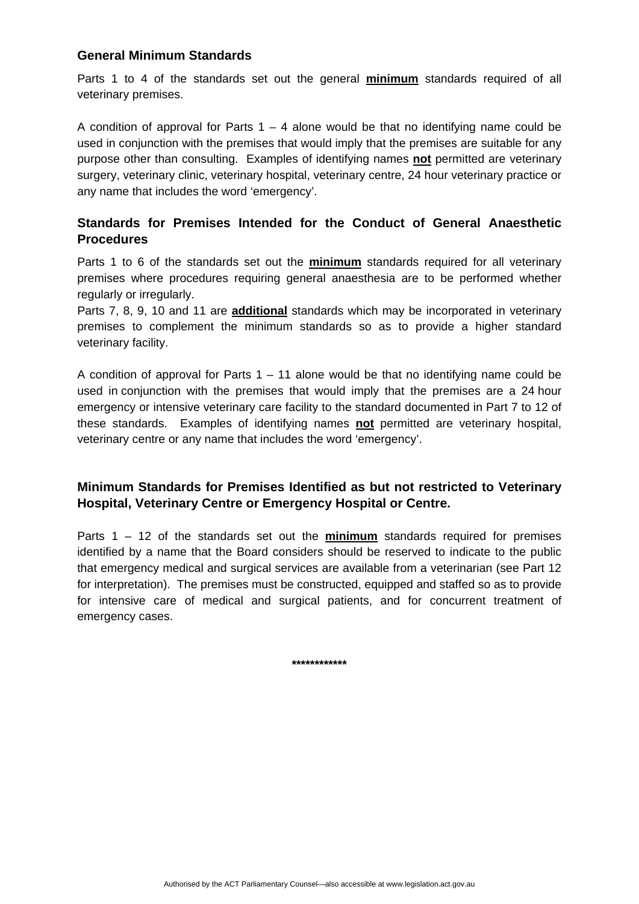### **General Minimum Standards**

Parts 1 to 4 of the standards set out the general **minimum** standards required of all veterinary premises.

A condition of approval for Parts  $1 - 4$  alone would be that no identifying name could be used in conjunction with the premises that would imply that the premises are suitable for any purpose other than consulting. Examples of identifying names **not** permitted are veterinary surgery, veterinary clinic, veterinary hospital, veterinary centre, 24 hour veterinary practice or any name that includes the word 'emergency'.

### **Standards for Premises Intended for the Conduct of General Anaesthetic Procedures**

Parts 1 to 6 of the standards set out the **minimum** standards required for all veterinary premises where procedures requiring general anaesthesia are to be performed whether regularly or irregularly.

Parts 7, 8, 9, 10 and 11 are **additional** standards which may be incorporated in veterinary premises to complement the minimum standards so as to provide a higher standard veterinary facility.

A condition of approval for Parts  $1 - 11$  alone would be that no identifying name could be used in conjunction with the premises that would imply that the premises are a 24 hour emergency or intensive veterinary care facility to the standard documented in Part 7 to 12 of these standards. Examples of identifying names **not** permitted are veterinary hospital, veterinary centre or any name that includes the word 'emergency'.

### **Minimum Standards for Premises Identified as but not restricted to Veterinary Hospital, Veterinary Centre or Emergency Hospital or Centre.**

Parts 1 – 12 of the standards set out the **minimum** standards required for premises identified by a name that the Board considers should be reserved to indicate to the public that emergency medical and surgical services are available from a veterinarian (see Part 12 for interpretation). The premises must be constructed, equipped and staffed so as to provide for intensive care of medical and surgical patients, and for concurrent treatment of emergency cases.

**\*\*\*\*\*\*\*\*\*\*\*\***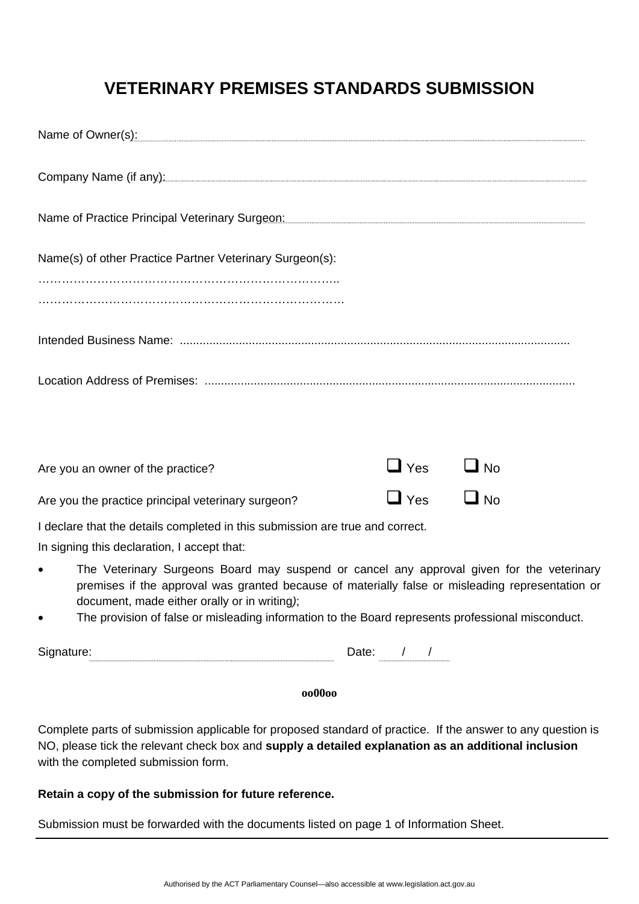# **VETERINARY PREMISES STANDARDS SUBMISSION**

|           | Name of Owner(s): example and a set of Owner(s) and a set of Owner (s) and a set of Owner (s) and a set of Owner (s) and a set of $\sim$ 100 $\mu$ m set of $\sim$ 100 $\mu$ m set of $\sim$ 100 $\mu$ m set of $\sim$ 100 $\mu$ m set of     |                      |           |  |
|-----------|-----------------------------------------------------------------------------------------------------------------------------------------------------------------------------------------------------------------------------------------------|----------------------|-----------|--|
|           | Company Name (if any): company Name (if any manufacture of any manufacture of any manufacture of any manufacture of any manufacture of any manufacture of any manufacture of any manufacture of any manufacture of any manufac                |                      |           |  |
|           |                                                                                                                                                                                                                                               |                      |           |  |
|           | Name(s) of other Practice Partner Veterinary Surgeon(s):                                                                                                                                                                                      |                      |           |  |
|           |                                                                                                                                                                                                                                               |                      |           |  |
|           |                                                                                                                                                                                                                                               |                      |           |  |
|           |                                                                                                                                                                                                                                               |                      |           |  |
|           |                                                                                                                                                                                                                                               |                      |           |  |
|           | Are you an owner of the practice?                                                                                                                                                                                                             | $\Box$ Yes $\Box$ No |           |  |
|           | Are you the practice principal veterinary surgeon?                                                                                                                                                                                            | $\Box$ Yes           | $\Box$ No |  |
|           | I declare that the details completed in this submission are true and correct.                                                                                                                                                                 |                      |           |  |
|           | In signing this declaration, I accept that:                                                                                                                                                                                                   |                      |           |  |
| $\bullet$ | The Veterinary Surgeons Board may suspend or cancel any approval given for the veterinary<br>premises if the approval was granted because of materially false or misleading representation or<br>document, made either orally or in writing); |                      |           |  |
|           | The provision of false or misleading information to the Board represents professional misconduct.                                                                                                                                             |                      |           |  |

Signature: Date: / / /

### **oo00oo**

Complete parts of submission applicable for proposed standard of practice. If the answer to any question is NO, please tick the relevant check box and **supply a detailed explanation as an additional inclusion** with the completed submission form.

### **Retain a copy of the submission for future reference.**

Submission must be forwarded with the documents listed on page 1 of Information Sheet.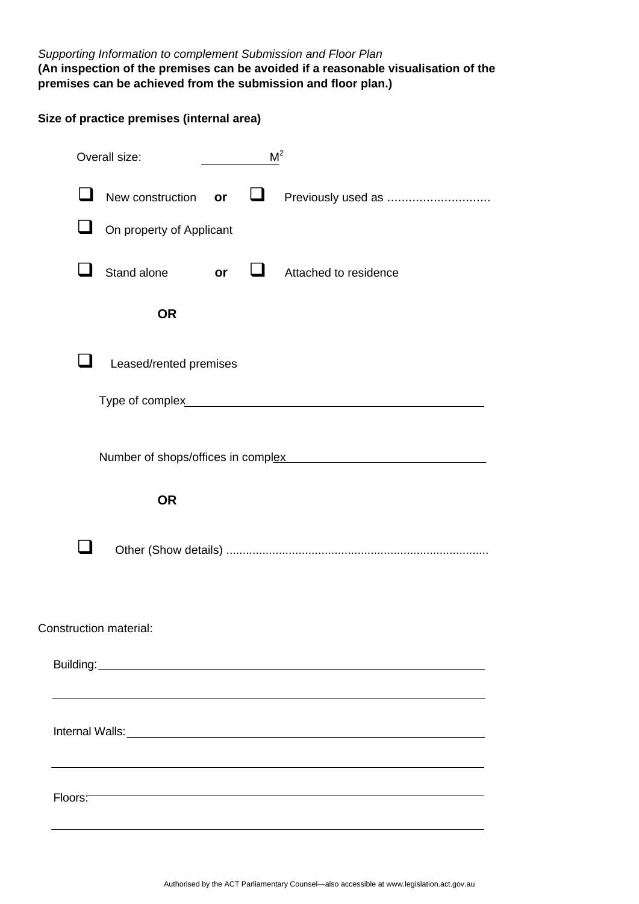## *Supporting Information to complement Submission and Floor Plan*

### **(An inspection of the premises can be avoided if a reasonable visualisation of the premises can be achieved from the submission and floor plan.)**

|                        | Size of practice premises (internal area) |           |   |                                                                       |
|------------------------|-------------------------------------------|-----------|---|-----------------------------------------------------------------------|
|                        | Overall size:                             |           |   | M <sup>2</sup>                                                        |
|                        | New construction                          | or        | ⊔ | Previously used as                                                    |
| $\mathbf{L}$           | On property of Applicant                  |           |   |                                                                       |
|                        | Stand alone                               | <b>Or</b> |   | Attached to residence                                                 |
|                        | <b>OR</b>                                 |           |   |                                                                       |
|                        | Leased/rented premises                    |           |   |                                                                       |
|                        |                                           |           |   |                                                                       |
|                        |                                           |           |   | Number of shops/offices in complex Mumber of shops/offices in complex |
|                        | <b>OR</b>                                 |           |   |                                                                       |
|                        |                                           |           |   |                                                                       |
| Construction material: |                                           |           |   |                                                                       |
|                        |                                           |           |   |                                                                       |
|                        |                                           |           |   |                                                                       |
| Floors:                |                                           |           |   |                                                                       |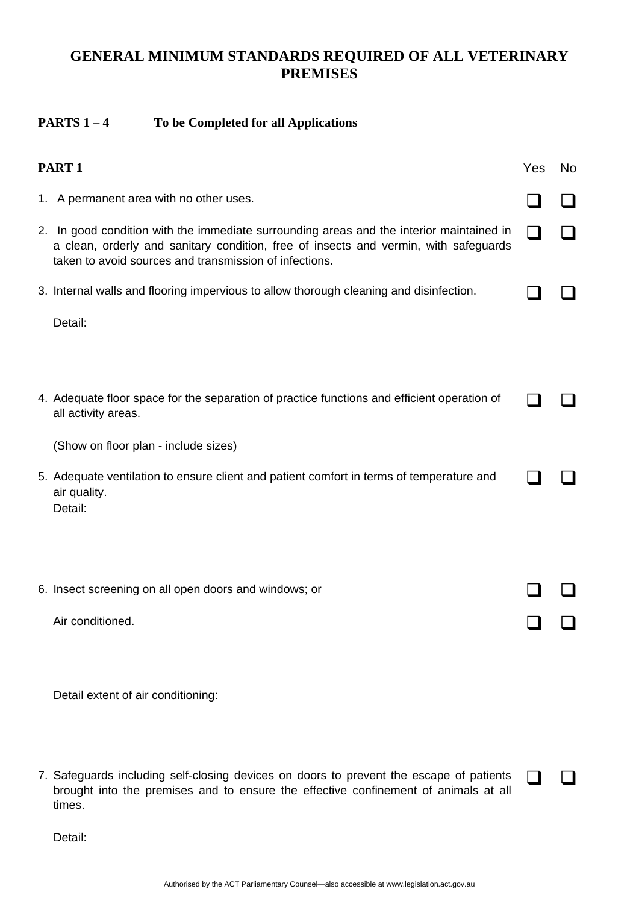## **GENERAL MINIMUM STANDARDS REQUIRED OF ALL VETERINARY PREMISES**

### **PARTS 1 – 4 To be Completed for all Applications**

| PART <sub>1</sub>                                                                                                                                                                                                                          | Yes | No |
|--------------------------------------------------------------------------------------------------------------------------------------------------------------------------------------------------------------------------------------------|-----|----|
| 1. A permanent area with no other uses.                                                                                                                                                                                                    |     |    |
| 2. In good condition with the immediate surrounding areas and the interior maintained in<br>a clean, orderly and sanitary condition, free of insects and vermin, with safeguards<br>taken to avoid sources and transmission of infections. |     |    |
| 3. Internal walls and flooring impervious to allow thorough cleaning and disinfection.                                                                                                                                                     |     |    |
| Detail:                                                                                                                                                                                                                                    |     |    |
|                                                                                                                                                                                                                                            |     |    |
| 4. Adequate floor space for the separation of practice functions and efficient operation of<br>all activity areas.                                                                                                                         |     |    |
| (Show on floor plan - include sizes)                                                                                                                                                                                                       |     |    |
| 5. Adequate ventilation to ensure client and patient comfort in terms of temperature and<br>air quality.<br>Detail:                                                                                                                        |     |    |
|                                                                                                                                                                                                                                            |     |    |
| 6. Insect screening on all open doors and windows; or                                                                                                                                                                                      |     |    |
| Air conditioned.                                                                                                                                                                                                                           |     |    |
|                                                                                                                                                                                                                                            |     |    |
| Detail extent of air conditioning:                                                                                                                                                                                                         |     |    |
|                                                                                                                                                                                                                                            |     |    |
| 7. Safeguards including self-closing devices on doors to prevent the escape of patients                                                                                                                                                    |     |    |

brought into the premises and to ensure the effective confinement of animals at all times.

Detail: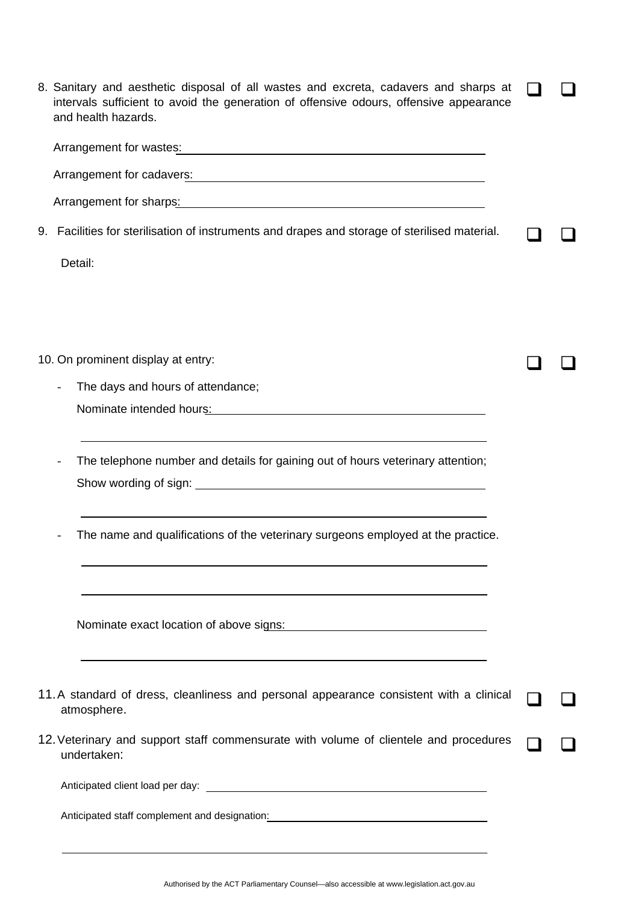|  | 8. Sanitary and aesthetic disposal of all wastes and excreta, cadavers and sharps at<br>intervals sufficient to avoid the generation of offensive odours, offensive appearance<br>and health hazards. |  |
|--|-------------------------------------------------------------------------------------------------------------------------------------------------------------------------------------------------------|--|
|  |                                                                                                                                                                                                       |  |
|  |                                                                                                                                                                                                       |  |
|  |                                                                                                                                                                                                       |  |
|  | 9. Facilities for sterilisation of instruments and drapes and storage of sterilised material.                                                                                                         |  |
|  | Detail:                                                                                                                                                                                               |  |
|  |                                                                                                                                                                                                       |  |
|  |                                                                                                                                                                                                       |  |
|  | 10. On prominent display at entry:                                                                                                                                                                    |  |
|  | The days and hours of attendance;                                                                                                                                                                     |  |
|  | Nominate intended hours: Nominate intended hours:                                                                                                                                                     |  |
|  | The telephone number and details for gaining out of hours veterinary attention;                                                                                                                       |  |
|  | The name and qualifications of the veterinary surgeons employed at the practice.                                                                                                                      |  |
|  | and the control of the control of the control of the control of the control of the control of the control of the<br>Nominate exact location of above signs: Nominate exact location of above signs:   |  |
|  | 11. A standard of dress, cleanliness and personal appearance consistent with a clinical<br>atmosphere.                                                                                                |  |
|  | 12. Veterinary and support staff commensurate with volume of clientele and procedures<br>undertaken:                                                                                                  |  |
|  |                                                                                                                                                                                                       |  |
|  | Anticipated staff complement and designation: __________________________________                                                                                                                      |  |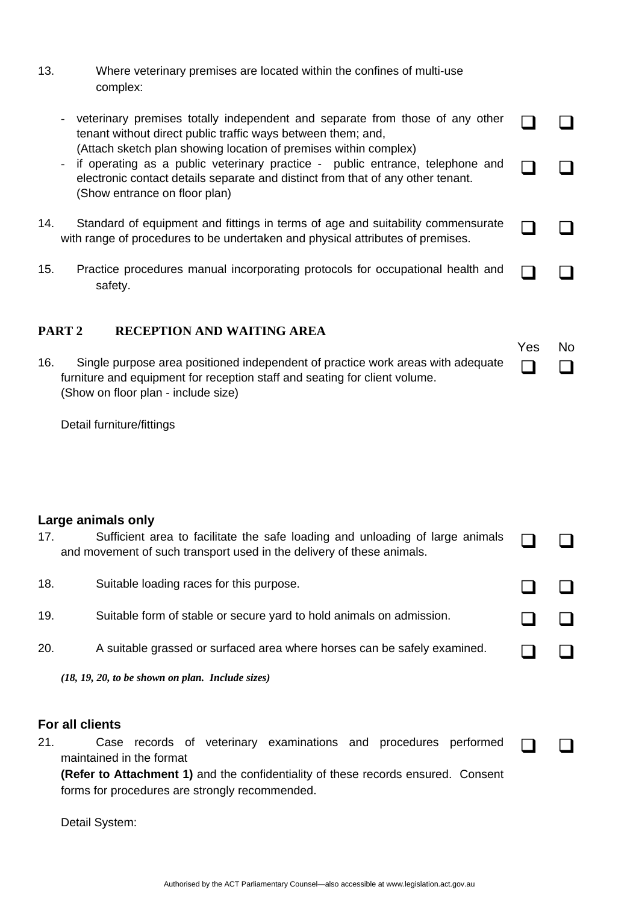- 13. Where veterinary premises are located within the confines of multi-use complex:
	- veterinary premises totally independent and separate from those of any other tenant without direct public traffic ways between them; and, (Attach sketch plan showing location of premises within complex) n n - if operating as a public veterinary practice - public entrance, telephone and electronic contact details separate and distinct from that of any other tenant. (Show entrance on floor plan)  $\Box$   $\Box$

 $\Box$ 

- 14. Standard of equipment and fittings in terms of age and suitability commensurate Standard of equipment and fittings in terms of age and suitability commensurate  $\Box$   $\Box$  with range of procedures to be undertaken and physical attributes of premises.
- 15. Practice procedures manual incorporating protocols for occupational health and safety.

### **PART 2 RECEPTION AND WAITING AREA**

Yes No 16. Single purpose area positioned independent of practice work areas with adequate furniture and equipment for reception staff and seating for client volume. (Show on floor plan - include size)  $\Box$  $\Box$ 

Detail furniture/fittings

### **Large animals only**

| 17. | Sufficient area to facilitate the safe loading and unloading of large animals<br>and movement of such transport used in the delivery of these animals. |  |
|-----|--------------------------------------------------------------------------------------------------------------------------------------------------------|--|
| 18. | Suitable loading races for this purpose.                                                                                                               |  |
| 19. | Suitable form of stable or secure yard to hold animals on admission.                                                                                   |  |
| 20. | A suitable grassed or surfaced area where horses can be safely examined.                                                                               |  |
|     | $(18, 19, 20, to be shown on plan. Include sizes)$                                                                                                     |  |
|     | For all clients                                                                                                                                        |  |

21. Case records of veterinary examinations and procedures performed maintained in the format  $\Box$ 

**(Refer to Attachment 1)** and the confidentiality of these records ensured. Consent forms for procedures are strongly recommended.

Detail System: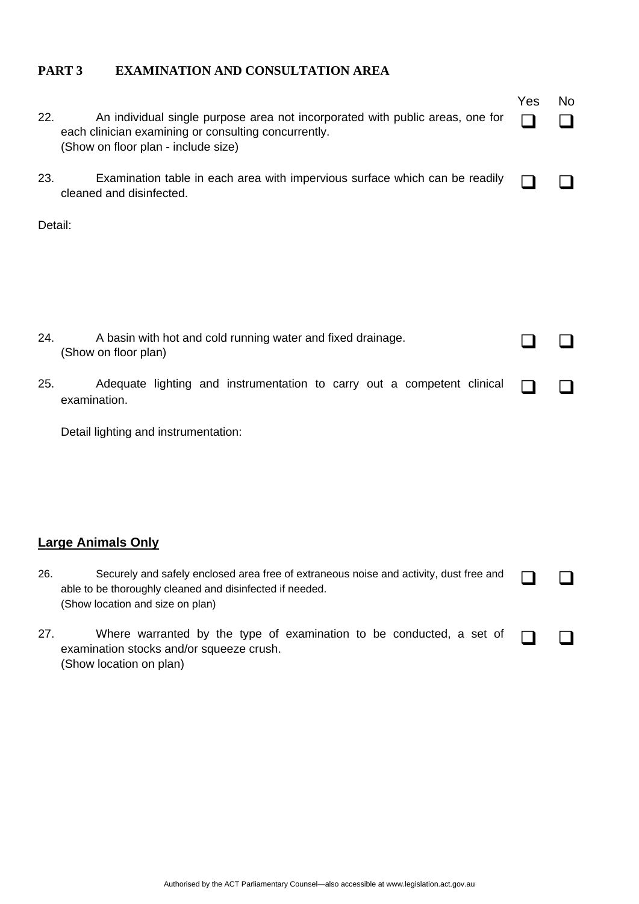### **PART 3 EXAMINATION AND CONSULTATION AREA**

| 22.     | An individual single purpose area not incorporated with public areas, one for<br>each clinician examining or consulting concurrently.<br>(Show on floor plan - include size)           | Yes | No |
|---------|----------------------------------------------------------------------------------------------------------------------------------------------------------------------------------------|-----|----|
| 23.     | Examination table in each area with impervious surface which can be readily<br>cleaned and disinfected.                                                                                |     |    |
| Detail: |                                                                                                                                                                                        |     |    |
| 24.     | A basin with hot and cold running water and fixed drainage.<br>(Show on floor plan)                                                                                                    |     |    |
| 25.     | Adequate lighting and instrumentation to carry out a competent clinical<br>examination.                                                                                                |     |    |
|         | Detail lighting and instrumentation:                                                                                                                                                   |     |    |
|         | <b>Large Animals Only</b>                                                                                                                                                              |     |    |
| 26.     | Securely and safely enclosed area free of extraneous noise and activity, dust free and<br>able to be thoroughly cleaned and disinfected if needed.<br>(Show location and size on plan) |     |    |
| 27.     | Where warranted by the type of examination to be conducted, a set of<br>examination stocks and/or squeeze crush.<br>(Show location on plan)                                            |     |    |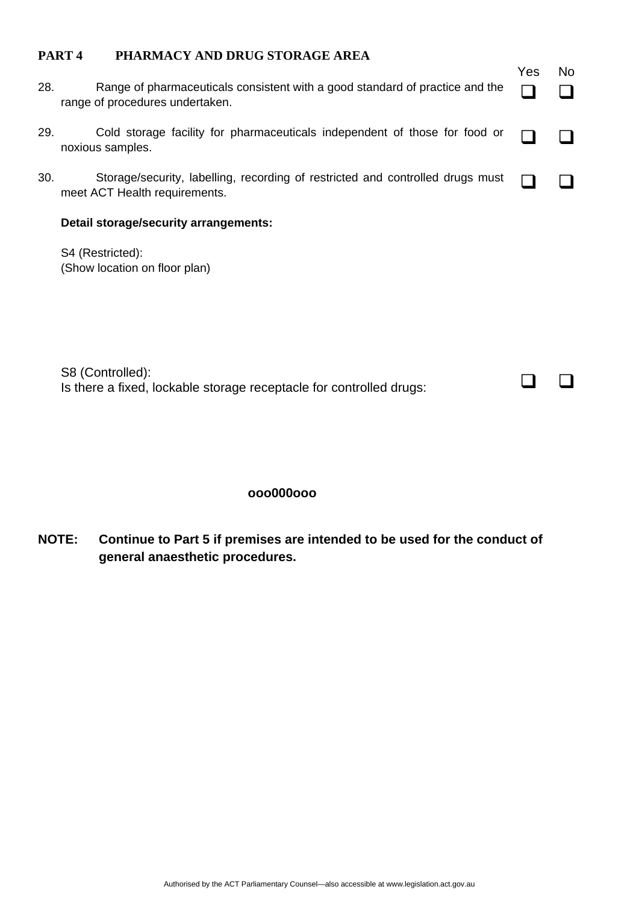### **PART 4 PHARMACY AND DRUG STORAGE AREA**

| 28. | Range of pharmaceuticals consistent with a good standard of practice and the<br>range of procedures undertaken. | Yes | <b>No</b> |
|-----|-----------------------------------------------------------------------------------------------------------------|-----|-----------|
| 29. | Cold storage facility for pharmaceuticals independent of those for food or<br>noxious samples.                  |     |           |
| 30. | Storage/security, labelling, recording of restricted and controlled drugs must<br>meet ACT Health requirements. |     |           |
|     | Detail storage/security arrangements:                                                                           |     |           |
|     | S4 (Restricted):<br>(Show location on floor plan)                                                               |     |           |

 $\begin{array}{ccc} \square & \square \end{array}$ 

S8 (Controlled): Is there a fixed, lockable storage receptacle for controlled drugs:

### **ooo000ooo**

**NOTE: Continue to Part 5 if premises are intended to be used for the conduct of general anaesthetic procedures.**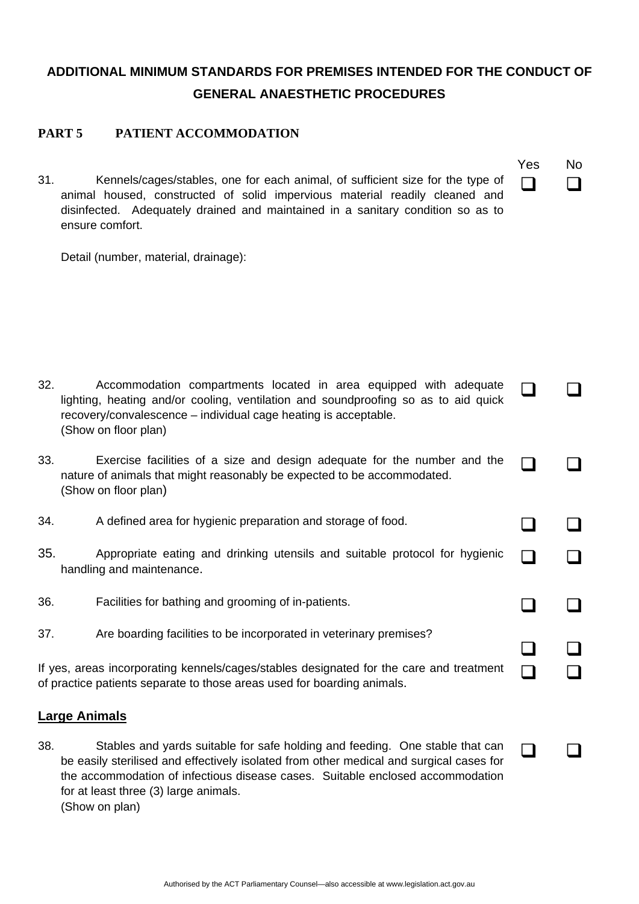## **ADDITIONAL MINIMUM STANDARDS FOR PREMISES INTENDED FOR THE CONDUCT OF GENERAL ANAESTHETIC PROCEDURES**

### **PART 5 PATIENT ACCOMMODATION**

| Yes | No |
|-----|----|
|     |    |

 $\Box$ 

 $\Box$ 

 $\Box$ 

 $\Box$ 

 $\begin{array}{ccc} \square & \square \end{array}$ 

31. Kennels/cages/stables, one for each animal, of sufficient size for the type of animal housed, constructed of solid impervious material readily cleaned and disinfected. Adequately drained and maintained in a sanitary condition so as to ensure comfort.

Detail (number, material, drainage):

- 32. Accommodation compartments located in area equipped with adequate lighting, heating and/or cooling, ventilation and soundproofing so as to aid quick recovery/convalescence – individual cage heating is acceptable. (Show on floor plan)  $\begin{array}{ccc} \square & \square \end{array}$
- 33. Exercise facilities of a size and design adequate for the number and the nature of animals that might reasonably be expected to be accommodated. (Show on floor plan) n n
- 34. A defined area for hygienic preparation and storage of food.
- 35. Appropriate eating and drinking utensils and suitable protocol for hygienic  $\Box$
- 36. Facilities for bathing and grooming of in-patients.
- 37. Are boarding facilities to be incorporated in veterinary premises?

If yes, areas incorporating kennels/cages/stables designated for the care and treatment  $\Box$   $\Box$ 

### **Large Animals**

38. Stables and yards suitable for safe holding and feeding. One stable that can be easily sterilised and effectively isolated from other medical and surgical cases for the accommodation of infectious disease cases. Suitable enclosed accommodation for at least three (3) large animals. (Show on plan)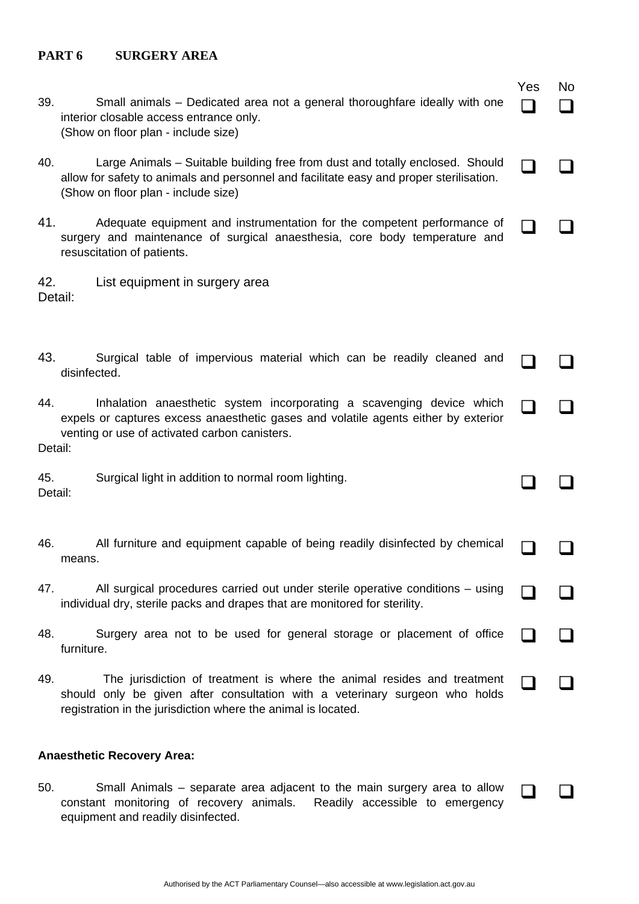### **PART 6 SURGERY AREA**

equipment and readily disinfected.

| 39.            | Small animals – Dedicated area not a general thoroughfare ideally with one<br>interior closable access entrance only.<br>(Show on floor plan - include size)                                                            | Yes | No |
|----------------|-------------------------------------------------------------------------------------------------------------------------------------------------------------------------------------------------------------------------|-----|----|
| 40.            | Large Animals - Suitable building free from dust and totally enclosed. Should<br>allow for safety to animals and personnel and facilitate easy and proper sterilisation.<br>(Show on floor plan - include size)         |     |    |
| 41.            | Adequate equipment and instrumentation for the competent performance of<br>surgery and maintenance of surgical anaesthesia, core body temperature and<br>resuscitation of patients.                                     |     |    |
| 42.<br>Detail: | List equipment in surgery area                                                                                                                                                                                          |     |    |
| 43.            | Surgical table of impervious material which can be readily cleaned and<br>disinfected.                                                                                                                                  |     |    |
| 44.<br>Detail: | Inhalation anaesthetic system incorporating a scavenging device which<br>expels or captures excess anaesthetic gases and volatile agents either by exterior<br>venting or use of activated carbon canisters.            |     |    |
| 45.<br>Detail: | Surgical light in addition to normal room lighting.                                                                                                                                                                     |     |    |
| 46.            | All furniture and equipment capable of being readily disinfected by chemical<br>means.                                                                                                                                  |     |    |
| 47.            | All surgical procedures carried out under sterile operative conditions – using<br>individual dry, sterile packs and drapes that are monitored for sterility.                                                            |     |    |
| 48.            | Surgery area not to be used for general storage or placement of office<br>furniture.                                                                                                                                    |     |    |
| 49.            | The jurisdiction of treatment is where the animal resides and treatment<br>should only be given after consultation with a veterinary surgeon who holds<br>registration in the jurisdiction where the animal is located. |     |    |
|                | <b>Anaesthetic Recovery Area:</b>                                                                                                                                                                                       |     |    |
| 50.            | Small Animals – separate area adjacent to the main surgery area to allow<br>constant monitoring of recovery animals. Readily accessible to emergency                                                                    |     |    |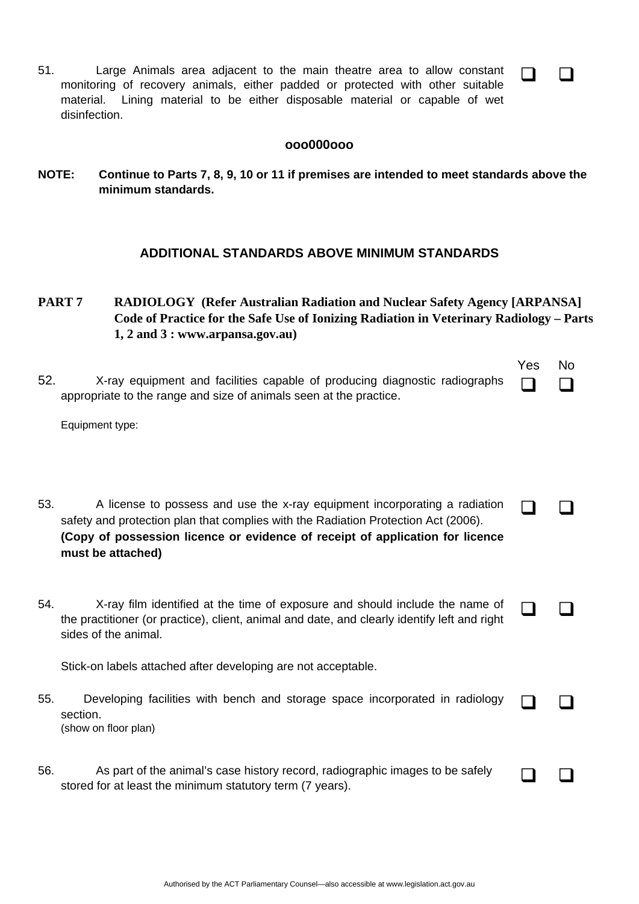51. Large Animals area adjacent to the main theatre area to allow constant monitoring of recovery animals, either padded or protected with other suitable material. Lining material to be either disposable material or capable of wet disinfection.

#### **ooo000ooo**

 $\Box$ 

**NOTE: Continue to Parts 7, 8, 9, 10 or 11 if premises are intended to meet standards above the minimum standards.** 

### **ADDITIONAL STANDARDS ABOVE MINIMUM STANDARDS**

**PART 7 RADIOLOGY (Refer Australian Radiation and Nuclear Safety Agency [ARPANSA] Code of Practice for the Safe Use of Ionizing Radiation in Veterinary Radiology – Parts 1, 2 and 3 : www.arpansa.gov.au)** 

| 52. | X-ray equipment and facilities capable of producing diagnostic radiographs<br>appropriate to the range and size of animals seen at the practice.<br>Equipment type:                                                                                                    | Yes | No |
|-----|------------------------------------------------------------------------------------------------------------------------------------------------------------------------------------------------------------------------------------------------------------------------|-----|----|
| 53. | A license to possess and use the x-ray equipment incorporating a radiation<br>safety and protection plan that complies with the Radiation Protection Act (2006).<br>(Copy of possession licence or evidence of receipt of application for licence<br>must be attached) |     |    |
| 54. | X-ray film identified at the time of exposure and should include the name of<br>the practitioner (or practice), client, animal and date, and clearly identify left and right<br>sides of the animal.                                                                   |     |    |
| 55. | Stick-on labels attached after developing are not acceptable.<br>Developing facilities with bench and storage space incorporated in radiology<br>section.<br>(show on floor plan)                                                                                      |     |    |
| 56. | As part of the animal's case history record, radiographic images to be safely<br>stored for at least the minimum statutory term (7 years).                                                                                                                             |     |    |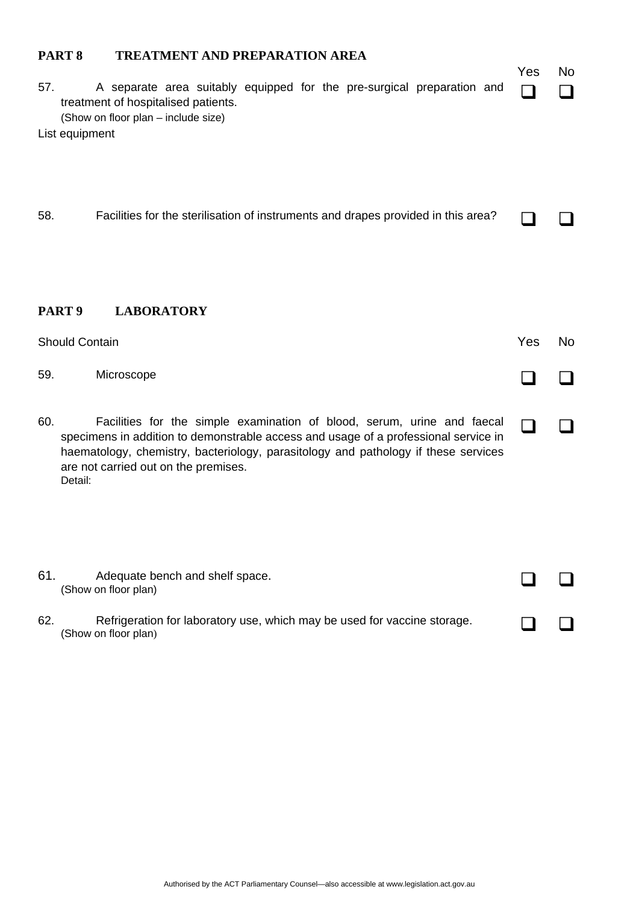### **PART 8 TREATMENT AND PREPARATION AREA**

| A separate area suitably equipped for the pre-surgical preparation and<br>57.<br>treatment of hospitalised patients.<br>(Show on floor plan - include size)<br>List equipment                                                                                                                                  | Yes | No.            |
|----------------------------------------------------------------------------------------------------------------------------------------------------------------------------------------------------------------------------------------------------------------------------------------------------------------|-----|----------------|
| 58.<br>Facilities for the sterilisation of instruments and drapes provided in this area?                                                                                                                                                                                                                       |     |                |
| PART <sub>9</sub><br><b>LABORATORY</b>                                                                                                                                                                                                                                                                         |     |                |
| <b>Should Contain</b>                                                                                                                                                                                                                                                                                          | Yes | N <sub>o</sub> |
| Microscope<br>59.                                                                                                                                                                                                                                                                                              |     |                |
| Facilities for the simple examination of blood, serum, urine and faecal<br>60.<br>specimens in addition to demonstrable access and usage of a professional service in<br>haematology, chemistry, bacteriology, parasitology and pathology if these services<br>are not carried out on the premises.<br>Detail: |     |                |
| 61.<br>Adequate bench and shelf space.<br>(Show on floor plan)                                                                                                                                                                                                                                                 |     |                |
| Refrigeration for laboratory use, which may be used for vaccine storage.<br>62.<br>(Show on floor plan)                                                                                                                                                                                                        |     |                |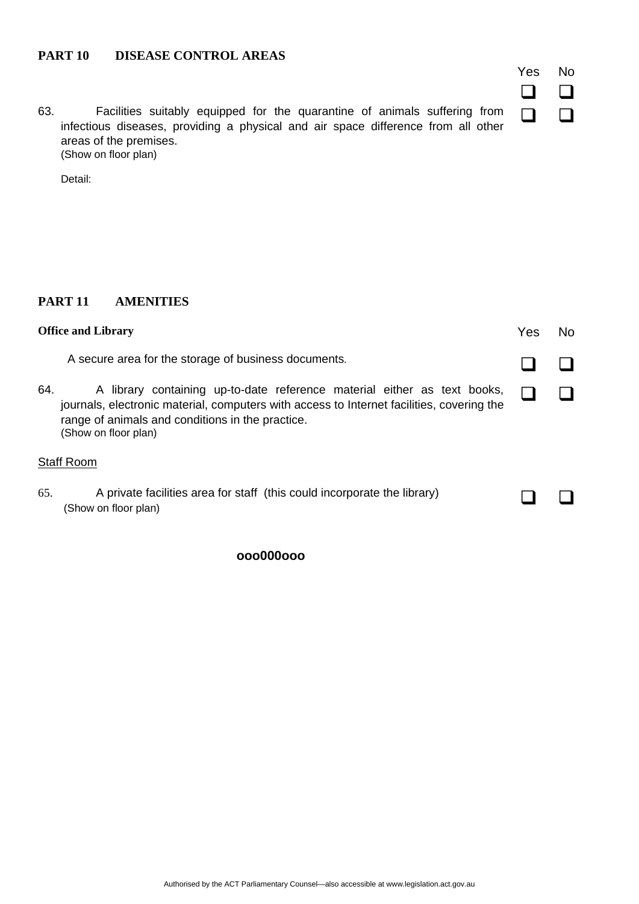### **PART 10 DISEASE CONTROL AREAS**

63. Facilities suitably equipped for the quarantine of animals suffering from infectious diseases, providing a physical and air space difference from all other areas of the premises. (Show on floor plan)

Yes No  $\begin{array}{cc} \square & \square \end{array}$ 

 $\Box$ 

Detail:

### **PART 11 AMENITIES**

| <b>Office and Library</b> |                                                                                                                                                                                                                                                   | Yes | No. |
|---------------------------|---------------------------------------------------------------------------------------------------------------------------------------------------------------------------------------------------------------------------------------------------|-----|-----|
|                           | A secure area for the storage of business documents.                                                                                                                                                                                              |     |     |
| 64.                       | A library containing up-to-date reference material either as text books,<br>journals, electronic material, computers with access to Internet facilities, covering the<br>range of animals and conditions in the practice.<br>(Show on floor plan) |     |     |
|                           | <b>Staff Room</b>                                                                                                                                                                                                                                 |     |     |
| 65.                       | A private facilities area for staff (this could incorporate the library)<br>(Show on floor plan)                                                                                                                                                  |     |     |

**ooo000ooo**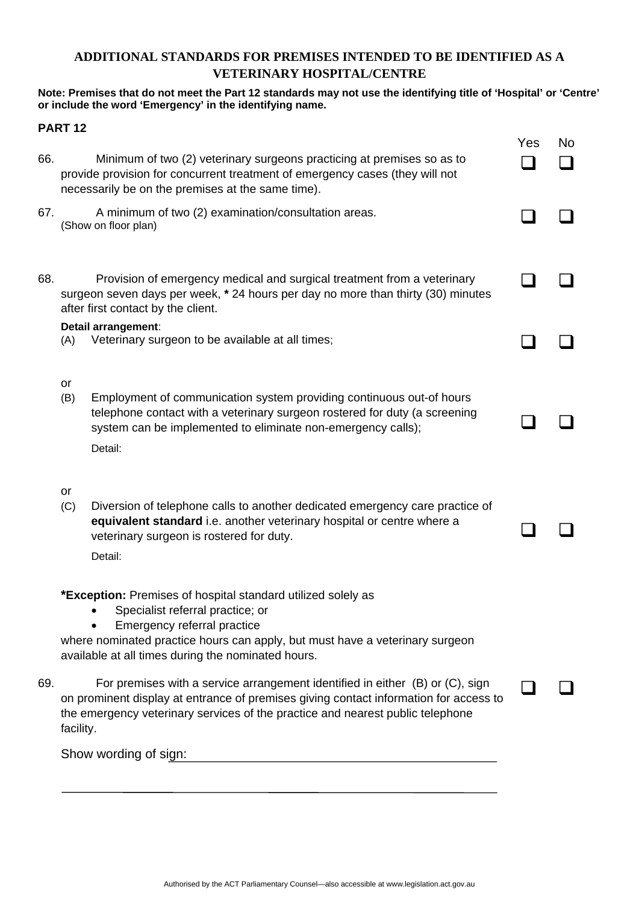### **ADDITIONAL STANDARDS FOR PREMISES INTENDED TO BE IDENTIFIED AS A VETERINARY HOSPITAL/CENTRE**

### **Note: Premises that do not meet the Part 12 standards may not use the identifying title of 'Hospital' or 'Centre' or include the word 'Emergency' in the identifying name.**

|     | <b>PART 12</b>                                                                                                                                                                                                                                                                                                                                                      |     |     |
|-----|---------------------------------------------------------------------------------------------------------------------------------------------------------------------------------------------------------------------------------------------------------------------------------------------------------------------------------------------------------------------|-----|-----|
| 66. | Minimum of two (2) veterinary surgeons practicing at premises so as to<br>provide provision for concurrent treatment of emergency cases (they will not<br>necessarily be on the premises at the same time).                                                                                                                                                         | Yes | No. |
| 67. | A minimum of two (2) examination/consultation areas.<br>(Show on floor plan)                                                                                                                                                                                                                                                                                        |     |     |
| 68. | Provision of emergency medical and surgical treatment from a veterinary<br>surgeon seven days per week, * 24 hours per day no more than thirty (30) minutes<br>after first contact by the client.                                                                                                                                                                   |     |     |
|     | Detail arrangement:<br>Veterinary surgeon to be available at all times;<br>(A)                                                                                                                                                                                                                                                                                      |     |     |
|     | or<br>Employment of communication system providing continuous out-of hours<br>(B)<br>telephone contact with a veterinary surgeon rostered for duty (a screening<br>system can be implemented to eliminate non-emergency calls);<br>Detail:                                                                                                                          |     |     |
|     | or<br>Diversion of telephone calls to another dedicated emergency care practice of<br>(C)<br>equivalent standard i.e. another veterinary hospital or centre where a<br>veterinary surgeon is rostered for duty.<br>Detail:                                                                                                                                          |     |     |
| 69. | *Exception: Premises of hospital standard utilized solely as<br>Specialist referral practice; or<br>$\bullet$<br>Emergency referral practice<br>where nominated practice hours can apply, but must have a veterinary surgeon<br>available at all times during the nominated hours.<br>For premises with a service arrangement identified in either (B) or (C), sign |     |     |
|     | on prominent display at entrance of premises giving contact information for access to<br>the emergency veterinary services of the practice and nearest public telephone<br>facility.                                                                                                                                                                                |     |     |
|     | Show wording of sign:                                                                                                                                                                                                                                                                                                                                               |     |     |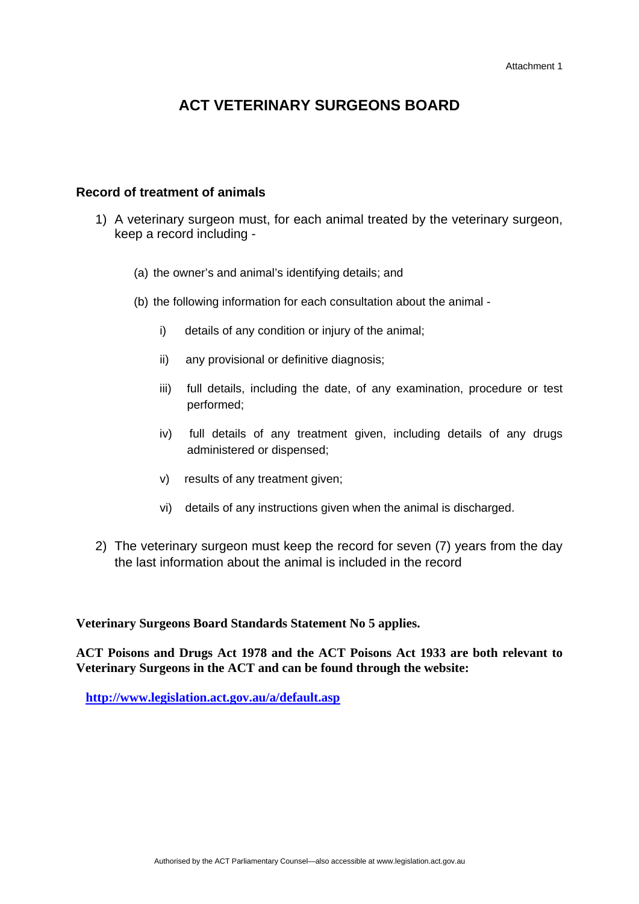### **Record of treatment of animals**

- 1) A veterinary surgeon must, for each animal treated by the veterinary surgeon, keep a record including -
	- (a) the owner's and animal's identifying details; and
	- (b) the following information for each consultation about the animal
		- i) details of any condition or injury of the animal;
		- ii) any provisional or definitive diagnosis;
		- iii) full details, including the date, of any examination, procedure or test performed;
		- iv) full details of any treatment given, including details of any drugs administered or dispensed;
		- v) results of any treatment given;
		- vi) details of any instructions given when the animal is discharged.
- 2) The veterinary surgeon must keep the record for seven (7) years from the day the last information about the animal is included in the record

**Veterinary Surgeons Board Standards Statement No 5 applies.** 

**ACT Poisons and Drugs Act 1978 and the ACT Poisons Act 1933 are both relevant to Veterinary Surgeons in the ACT and can be found through the website:** 

 **<http://www.legislation.act.gov.au/a/default.asp>**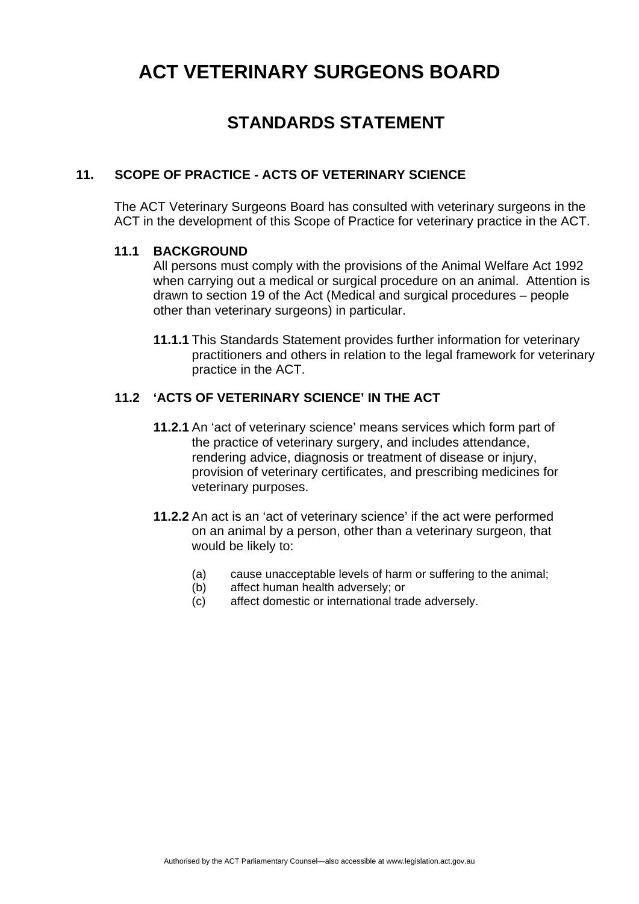## **STANDARDS STATEMENT**

### **11. SCOPE OF PRACTICE - ACTS OF VETERINARY SCIENCE**

The ACT Veterinary Surgeons Board has consulted with veterinary surgeons in the ACT in the development of this Scope of Practice for veterinary practice in the ACT.

### **11.1 BACKGROUND**

All persons must comply with the provisions of the Animal Welfare Act 1992 when carrying out a medical or surgical procedure on an animal. Attention is drawn to section 19 of the Act (Medical and surgical procedures – people other than veterinary surgeons) in particular.

**11.1.1** This Standards Statement provides further information for veterinary practitioners and others in relation to the legal framework for veterinary practice in the ACT.

### **11.2 'ACTS OF VETERINARY SCIENCE' IN THE ACT**

- **11.2.1** An 'act of veterinary science' means services which form part of the practice of veterinary surgery, and includes attendance, rendering advice, diagnosis or treatment of disease or injury, provision of veterinary certificates, and prescribing medicines for veterinary purposes.
- **11.2.2** An act is an 'act of veterinary science' if the act were performed on an animal by a person, other than a veterinary surgeon, that would be likely to:
	- (a) cause unacceptable levels of harm or suffering to the animal;
	- (b) affect human health adversely; or
	- (c) affect domestic or international trade adversely.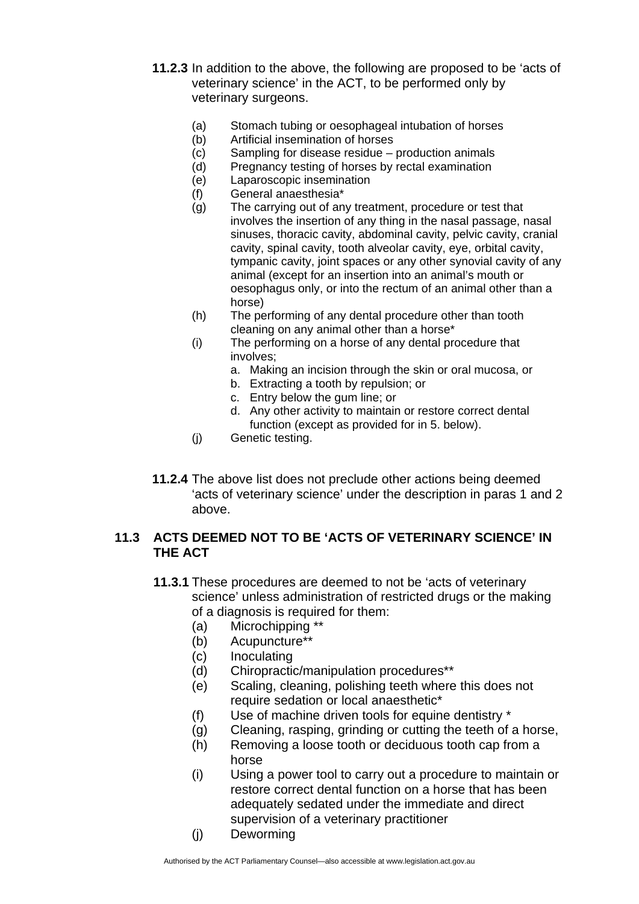- **11.2.3** In addition to the above, the following are proposed to be 'acts of veterinary science' in the ACT, to be performed only by veterinary surgeons.
	- (a) Stomach tubing or oesophageal intubation of horses
	- (b) Artificial insemination of horses
	- (c) Sampling for disease residue production animals
	- (d) Pregnancy testing of horses by rectal examination
	- (e) Laparoscopic insemination
	- (f) General anaesthesia\*
	- (g) The carrying out of any treatment, procedure or test that involves the insertion of any thing in the nasal passage, nasal sinuses, thoracic cavity, abdominal cavity, pelvic cavity, cranial cavity, spinal cavity, tooth alveolar cavity, eye, orbital cavity, tympanic cavity, joint spaces or any other synovial cavity of any animal (except for an insertion into an animal's mouth or oesophagus only, or into the rectum of an animal other than a horse)
	- (h) The performing of any dental procedure other than tooth cleaning on any animal other than a horse\*
	- (i) The performing on a horse of any dental procedure that involves;
		- a. Making an incision through the skin or oral mucosa, or
		- b. Extracting a tooth by repulsion; or
		- c. Entry below the gum line; or
		- d. Any other activity to maintain or restore correct dental function (except as provided for in 5. below).
	- (j) Genetic testing.
- **11.2.4** The above list does not preclude other actions being deemed 'acts of veterinary science' under the description in paras 1 and 2 above.

### **11.3 ACTS DEEMED NOT TO BE 'ACTS OF VETERINARY SCIENCE' IN THE ACT**

- **11.3.1** These procedures are deemed to not be 'acts of veterinary science' unless administration of restricted drugs or the making of a diagnosis is required for them:
	- (a) Microchipping \*\*
	- (b) Acupuncture\*\*
	- (c) Inoculating
	- (d) Chiropractic/manipulation procedures\*\*
	- (e) Scaling, cleaning, polishing teeth where this does not require sedation or local anaesthetic\*
	- (f) Use of machine driven tools for equine dentistry \*
	- (g) Cleaning, rasping, grinding or cutting the teeth of a horse,
	- (h) Removing a loose tooth or deciduous tooth cap from a horse
	- (i) Using a power tool to carry out a procedure to maintain or restore correct dental function on a horse that has been adequately sedated under the immediate and direct supervision of a veterinary practitioner
	- (j) Deworming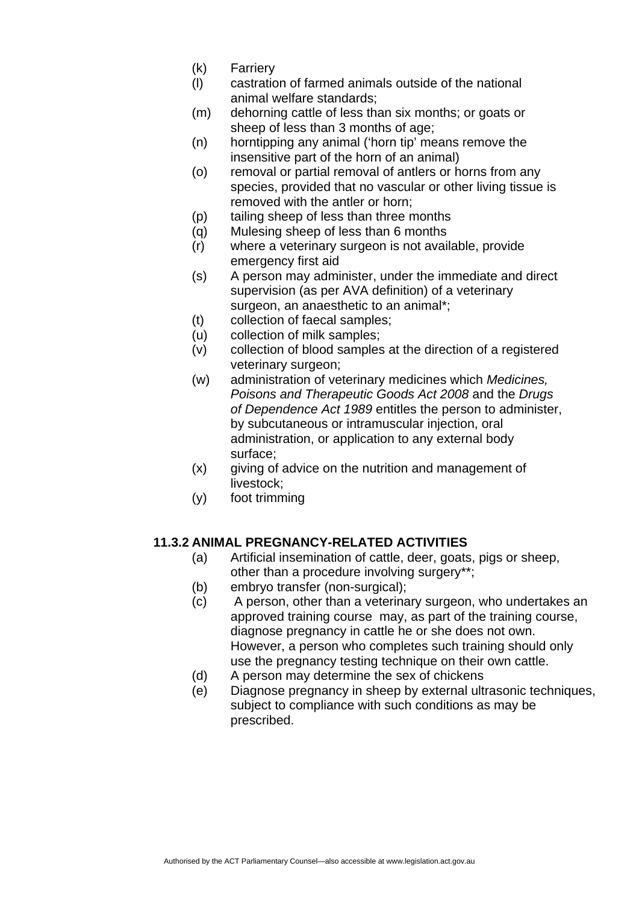- (k) Farriery
- (l) castration of farmed animals outside of the national animal welfare standards;
- (m) dehorning cattle of less than six months; or goats or sheep of less than 3 months of age;
- (n) horntipping any animal ('horn tip' means remove the insensitive part of the horn of an animal)
- (o) removal or partial removal of antlers or horns from any species, provided that no vascular or other living tissue is removed with the antler or horn;
- (p) tailing sheep of less than three months
- (q) Mulesing sheep of less than 6 months
- (r) where a veterinary surgeon is not available, provide emergency first aid
- (s) A person may administer, under the immediate and direct supervision (as per AVA definition) of a veterinary surgeon, an anaesthetic to an animal\*;
- (t) collection of faecal samples;
- (u) collection of milk samples;
- (v) collection of blood samples at the direction of a registered veterinary surgeon;
- (w) administration of veterinary medicines which *Medicines, Poisons and Therapeutic Goods Act 2008* and the *Drugs of Dependence Act 1989* entitles the person to administer, by subcutaneous or intramuscular injection, oral administration, or application to any external body surface;
- (x) giving of advice on the nutrition and management of livestock;
- (y) foot trimming

### **11.3.2 ANIMAL PREGNANCY-RELATED ACTIVITIES**

- (a) Artificial insemination of cattle, deer, goats, pigs or sheep, other than a procedure involving surgery\*\*;
- (b) embryo transfer (non-surgical);
- (c) A person, other than a veterinary surgeon, who undertakes an approved training course may, as part of the training course, diagnose pregnancy in cattle he or she does not own. However, a person who completes such training should only use the pregnancy testing technique on their own cattle.
- (d) A person may determine the sex of chickens
- (e) Diagnose pregnancy in sheep by external ultrasonic techniques, subject to compliance with such conditions as may be prescribed.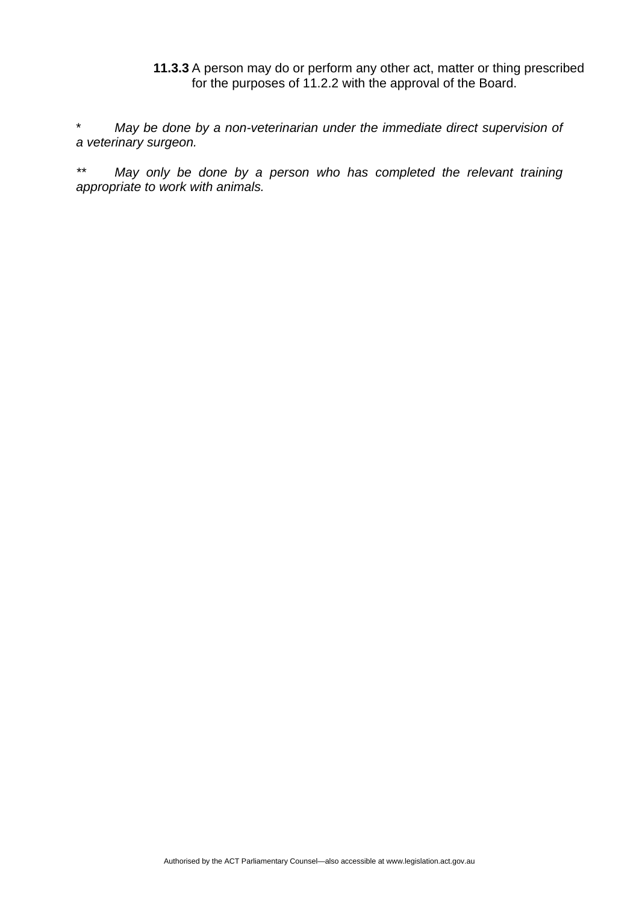### **11.3.3** A person may do or perform any other act, matter or thing prescribed for the purposes of 11.2.2 with the approval of the Board.

May be done by a non-veterinarian under the immediate direct supervision of *a veterinary surgeon.* 

*\*\* May only be done by a person who has completed the relevant training appropriate to work with animals.*